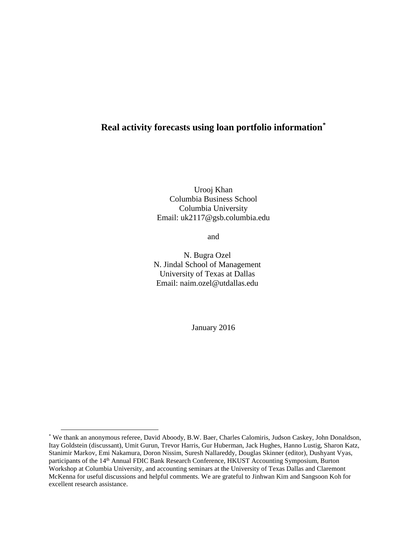# **Real activity forecasts using loan portfolio information[\\*](#page-0-0)**

Urooj Khan Columbia Business School Columbia University Email: uk2117@gsb.columbia.edu

and

N. Bugra Ozel N. Jindal School of Management University of Texas at Dallas Email: naim.ozel@utdallas.edu

January 2016

<span id="page-0-0"></span><sup>\*</sup> We thank an anonymous referee, David Aboody, B.W. Baer, Charles Calomiris, Judson Caskey, John Donaldson, Itay Goldstein (discussant), Umit Gurun, Trevor Harris, Gur Huberman, Jack Hughes, Hanno Lustig, Sharon Katz, Stanimir Markov, Emi Nakamura, Doron Nissim, Suresh Nallareddy, Douglas Skinner (editor), Dushyant Vyas, participants of the 14<sup>th</sup> Annual FDIC Bank Research Conference, HKUST Accounting Symposium, Burton Workshop at Columbia University, and accounting seminars at the University of Texas Dallas and Claremont McKenna for useful discussions and helpful comments. We are grateful to Jinhwan Kim and Sangsoon Koh for excellent research assistance.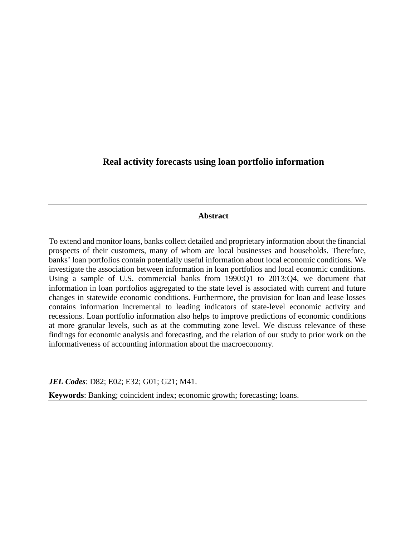# **Real activity forecasts using loan portfolio information**

# **Abstract**

To extend and monitor loans, banks collect detailed and proprietary information about the financial prospects of their customers, many of whom are local businesses and households. Therefore, banks' loan portfolios contain potentially useful information about local economic conditions. We investigate the association between information in loan portfolios and local economic conditions. Using a sample of U.S. commercial banks from 1990:Q1 to 2013:Q4, we document that information in loan portfolios aggregated to the state level is associated with current and future changes in statewide economic conditions. Furthermore, the provision for loan and lease losses contains information incremental to leading indicators of state-level economic activity and recessions. Loan portfolio information also helps to improve predictions of economic conditions at more granular levels, such as at the commuting zone level. We discuss relevance of these findings for economic analysis and forecasting, and the relation of our study to prior work on the informativeness of accounting information about the macroeconomy.

*JEL Codes*: D82; E02; E32; G01; G21; M41.

**Keywords**: Banking; coincident index; economic growth; forecasting; loans.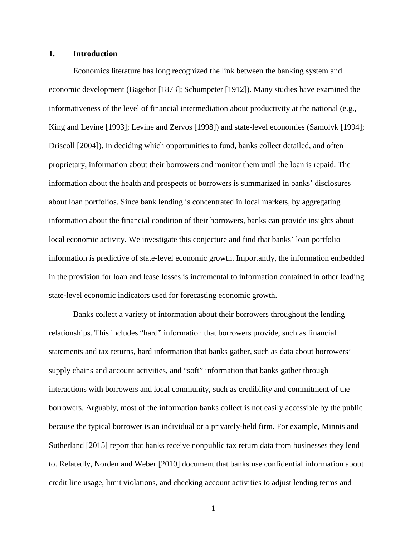# **1. Introduction**

Economics literature has long recognized the link between the banking system and economic development (Bagehot [1873]; Schumpeter [1912]). Many studies have examined the informativeness of the level of financial intermediation about productivity at the national (e.g., King and Levine [1993]; Levine and Zervos [1998]) and state-level economies (Samolyk [1994]; Driscoll [2004]). In deciding which opportunities to fund, banks collect detailed, and often proprietary, information about their borrowers and monitor them until the loan is repaid. The information about the health and prospects of borrowers is summarized in banks' disclosures about loan portfolios. Since bank lending is concentrated in local markets, by aggregating information about the financial condition of their borrowers, banks can provide insights about local economic activity. We investigate this conjecture and find that banks' loan portfolio information is predictive of state-level economic growth. Importantly, the information embedded in the provision for loan and lease losses is incremental to information contained in other leading state-level economic indicators used for forecasting economic growth.

Banks collect a variety of information about their borrowers throughout the lending relationships. This includes "hard" information that borrowers provide, such as financial statements and tax returns, hard information that banks gather, such as data about borrowers' supply chains and account activities, and "soft" information that banks gather through interactions with borrowers and local community, such as credibility and commitment of the borrowers. Arguably, most of the information banks collect is not easily accessible by the public because the typical borrower is an individual or a privately-held firm. For example, Minnis and Sutherland [2015] report that banks receive nonpublic tax return data from businesses they lend to. Relatedly, Norden and Weber [2010] document that banks use confidential information about credit line usage, limit violations, and checking account activities to adjust lending terms and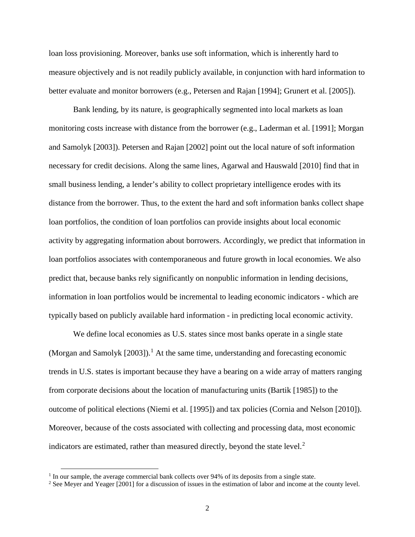loan loss provisioning. Moreover, banks use soft information, which is inherently hard to measure objectively and is not readily publicly available, in conjunction with hard information to better evaluate and monitor borrowers (e.g., Petersen and Rajan [1994]; Grunert et al. [2005]).

Bank lending, by its nature, is geographically segmented into local markets as loan monitoring costs increase with distance from the borrower (e.g., Laderman et al. [1991]; Morgan and Samolyk [2003]). Petersen and Rajan [2002] point out the local nature of soft information necessary for credit decisions. Along the same lines, Agarwal and Hauswald [2010] find that in small business lending, a lender's ability to collect proprietary intelligence erodes with its distance from the borrower. Thus, to the extent the hard and soft information banks collect shape loan portfolios, the condition of loan portfolios can provide insights about local economic activity by aggregating information about borrowers. Accordingly, we predict that information in loan portfolios associates with contemporaneous and future growth in local economies. We also predict that, because banks rely significantly on nonpublic information in lending decisions, information in loan portfolios would be incremental to leading economic indicators - which are typically based on publicly available hard information - in predicting local economic activity.

We define local economies as U.S. states since most banks operate in a single state (Morgan and Samolyk  $[2003]$ ).<sup>[1](#page-3-0)</sup> At the same time, understanding and forecasting economic trends in U.S. states is important because they have a bearing on a wide array of matters ranging from corporate decisions about the location of manufacturing units (Bartik [1985]) to the outcome of political elections (Niemi et al. [1995]) and tax policies (Cornia and Nelson [2010]). Moreover, because of the costs associated with collecting and processing data, most economic indicators are estimated, rather than measured directly, beyond the state level.<sup>[2](#page-3-1)</sup>

<span id="page-3-0"></span> $<sup>1</sup>$  In our sample, the average commercial bank collects over 94% of its deposits from a single state.</sup>

<span id="page-3-1"></span><sup>2</sup> See Meyer and Yeager [2001] for a discussion of issues in the estimation of labor and income at the county level.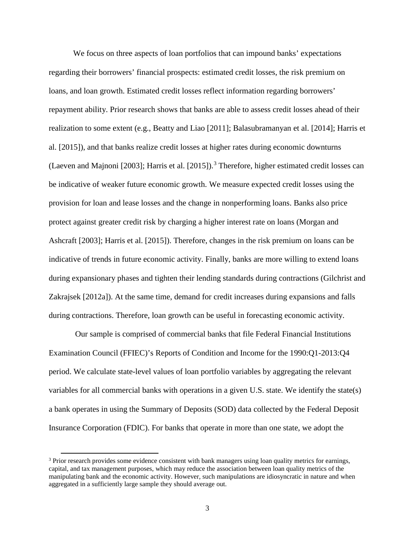We focus on three aspects of loan portfolios that can impound banks' expectations regarding their borrowers' financial prospects: estimated credit losses, the risk premium on loans, and loan growth. Estimated credit losses reflect information regarding borrowers' repayment ability. Prior research shows that banks are able to assess credit losses ahead of their realization to some extent (e.g., Beatty and Liao [2011]; Balasubramanyan et al. [2014]; Harris et al. [2015]), and that banks realize credit losses at higher rates during economic downturns (Laeven and Majnoni [200[3](#page-4-0)]; Harris et al. [2015]).<sup>3</sup> Therefore, higher estimated credit losses can be indicative of weaker future economic growth. We measure expected credit losses using the provision for loan and lease losses and the change in nonperforming loans. Banks also price protect against greater credit risk by charging a higher interest rate on loans (Morgan and Ashcraft [2003]; Harris et al. [2015]). Therefore, changes in the risk premium on loans can be indicative of trends in future economic activity. Finally, banks are more willing to extend loans during expansionary phases and tighten their lending standards during contractions (Gilchrist and Zakrajsek [2012a]). At the same time, demand for credit increases during expansions and falls during contractions. Therefore, loan growth can be useful in forecasting economic activity.

Our sample is comprised of commercial banks that file Federal Financial Institutions Examination Council (FFIEC)'s Reports of Condition and Income for the 1990:Q1-2013:Q4 period. We calculate state-level values of loan portfolio variables by aggregating the relevant variables for all commercial banks with operations in a given U.S. state. We identify the state(s) a bank operates in using the Summary of Deposits (SOD) data collected by the Federal Deposit Insurance Corporation (FDIC). For banks that operate in more than one state, we adopt the

<span id="page-4-0"></span><sup>&</sup>lt;sup>3</sup> Prior research provides some evidence consistent with bank managers using loan quality metrics for earnings, capital, and tax management purposes, which may reduce the association between loan quality metrics of the manipulating bank and the economic activity. However, such manipulations are idiosyncratic in nature and when aggregated in a sufficiently large sample they should average out.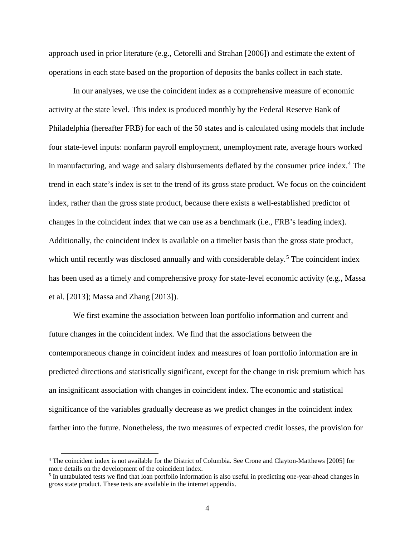approach used in prior literature (e.g., Cetorelli and Strahan [2006]) and estimate the extent of operations in each state based on the proportion of deposits the banks collect in each state.

In our analyses, we use the coincident index as a comprehensive measure of economic activity at the state level. This index is produced monthly by the Federal Reserve Bank of Philadelphia (hereafter FRB) for each of the 50 states and is calculated using models that include four state-level inputs: nonfarm payroll employment, unemployment rate, average hours worked in manufacturing, and wage and salary disbursements deflated by the consumer price index.<sup>[4](#page-5-0)</sup> The trend in each state's index is set to the trend of its gross state product. We focus on the coincident index, rather than the gross state product, because there exists a well-established predictor of changes in the coincident index that we can use as a benchmark (i.e., FRB's leading index). Additionally, the coincident index is available on a timelier basis than the gross state product, which until recently was disclosed annually and with considerable delay.<sup>[5](#page-5-1)</sup> The coincident index has been used as a timely and comprehensive proxy for state-level economic activity (e.g., Massa et al. [2013]; Massa and Zhang [2013]).

We first examine the association between loan portfolio information and current and future changes in the coincident index. We find that the associations between the contemporaneous change in coincident index and measures of loan portfolio information are in predicted directions and statistically significant, except for the change in risk premium which has an insignificant association with changes in coincident index. The economic and statistical significance of the variables gradually decrease as we predict changes in the coincident index farther into the future. Nonetheless, the two measures of expected credit losses, the provision for

<span id="page-5-0"></span><sup>4</sup> The coincident index is not available for the District of Columbia. See Crone and Clayton-Matthews [2005] for more details on the development of the coincident index.

<span id="page-5-1"></span><sup>5</sup> In untabulated tests we find that loan portfolio information is also useful in predicting one-year-ahead changes in gross state product. These tests are available in the internet appendix.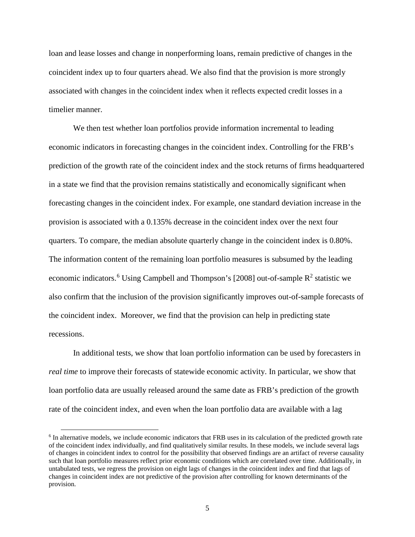loan and lease losses and change in nonperforming loans, remain predictive of changes in the coincident index up to four quarters ahead. We also find that the provision is more strongly associated with changes in the coincident index when it reflects expected credit losses in a timelier manner.

We then test whether loan portfolios provide information incremental to leading economic indicators in forecasting changes in the coincident index. Controlling for the FRB's prediction of the growth rate of the coincident index and the stock returns of firms headquartered in a state we find that the provision remains statistically and economically significant when forecasting changes in the coincident index. For example, one standard deviation increase in the provision is associated with a 0.135% decrease in the coincident index over the next four quarters. To compare, the median absolute quarterly change in the coincident index is 0.80%. The information content of the remaining loan portfolio measures is subsumed by the leading economic indicators.<sup>[6](#page-6-0)</sup> Using Campbell and Thompson's [2008] out-of-sample  $R^2$  statistic we also confirm that the inclusion of the provision significantly improves out-of-sample forecasts of the coincident index. Moreover, we find that the provision can help in predicting state recessions.

In additional tests, we show that loan portfolio information can be used by forecasters in *real time* to improve their forecasts of statewide economic activity. In particular, we show that loan portfolio data are usually released around the same date as FRB's prediction of the growth rate of the coincident index, and even when the loan portfolio data are available with a lag

<span id="page-6-0"></span><sup>6</sup> In alternative models, we include economic indicators that FRB uses in its calculation of the predicted growth rate of the coincident index individually, and find qualitatively similar results. In these models, we include several lags of changes in coincident index to control for the possibility that observed findings are an artifact of reverse causality such that loan portfolio measures reflect prior economic conditions which are correlated over time. Additionally, in untabulated tests, we regress the provision on eight lags of changes in the coincident index and find that lags of changes in coincident index are not predictive of the provision after controlling for known determinants of the provision.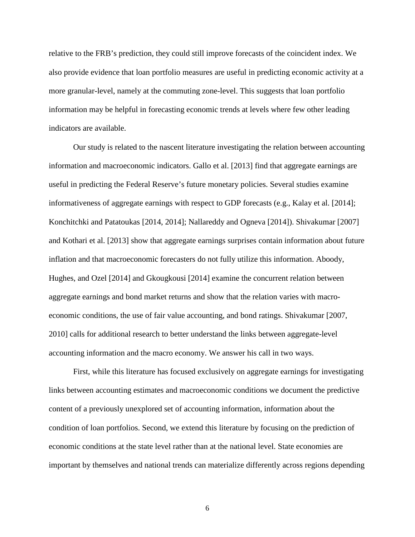relative to the FRB's prediction, they could still improve forecasts of the coincident index. We also provide evidence that loan portfolio measures are useful in predicting economic activity at a more granular-level, namely at the commuting zone-level. This suggests that loan portfolio information may be helpful in forecasting economic trends at levels where few other leading indicators are available.

Our study is related to the nascent literature investigating the relation between accounting information and macroeconomic indicators. Gallo et al. [2013] find that aggregate earnings are useful in predicting the Federal Reserve's future monetary policies. Several studies examine informativeness of aggregate earnings with respect to GDP forecasts (e.g., Kalay et al. [2014]; Konchitchki and Patatoukas [2014, 2014]; Nallareddy and Ogneva [2014]). Shivakumar [2007] and Kothari et al. [2013] show that aggregate earnings surprises contain information about future inflation and that macroeconomic forecasters do not fully utilize this information. Aboody, Hughes, and Ozel [2014] and Gkougkousi [2014] examine the concurrent relation between aggregate earnings and bond market returns and show that the relation varies with macroeconomic conditions, the use of fair value accounting, and bond ratings. Shivakumar [2007, 2010] calls for additional research to better understand the links between aggregate-level accounting information and the macro economy. We answer his call in two ways.

First, while this literature has focused exclusively on aggregate earnings for investigating links between accounting estimates and macroeconomic conditions we document the predictive content of a previously unexplored set of accounting information, information about the condition of loan portfolios. Second, we extend this literature by focusing on the prediction of economic conditions at the state level rather than at the national level. State economies are important by themselves and national trends can materialize differently across regions depending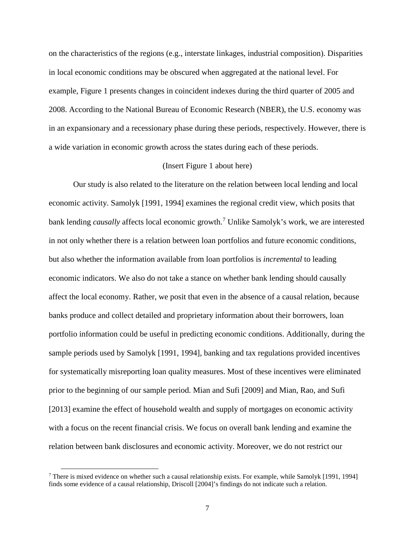on the characteristics of the regions (e.g., interstate linkages, industrial composition). Disparities in local economic conditions may be obscured when aggregated at the national level. For example, Figure 1 presents changes in coincident indexes during the third quarter of 2005 and 2008. According to the National Bureau of Economic Research (NBER), the U.S. economy was in an expansionary and a recessionary phase during these periods, respectively. However, there is a wide variation in economic growth across the states during each of these periods.

# (Insert Figure 1 about here)

Our study is also related to the literature on the relation between local lending and local economic activity. Samolyk [1991, 1994] examines the regional credit view, which posits that bank lending *causally* affects local economic growth. [7](#page-8-0) Unlike Samolyk's work, we are interested in not only whether there is a relation between loan portfolios and future economic conditions, but also whether the information available from loan portfolios is *incremental* to leading economic indicators. We also do not take a stance on whether bank lending should causally affect the local economy. Rather, we posit that even in the absence of a causal relation, because banks produce and collect detailed and proprietary information about their borrowers, loan portfolio information could be useful in predicting economic conditions. Additionally, during the sample periods used by Samolyk [1991, 1994], banking and tax regulations provided incentives for systematically misreporting loan quality measures. Most of these incentives were eliminated prior to the beginning of our sample period. Mian and Sufi [2009] and Mian, Rao, and Sufi [2013] examine the effect of household wealth and supply of mortgages on economic activity with a focus on the recent financial crisis. We focus on overall bank lending and examine the relation between bank disclosures and economic activity. Moreover, we do not restrict our

<span id="page-8-0"></span><sup>&</sup>lt;sup>7</sup> There is mixed evidence on whether such a causal relationship exists. For example, while Samolyk [1991, 1994] finds some evidence of a causal relationship, Driscoll [2004]'s findings do not indicate such a relation.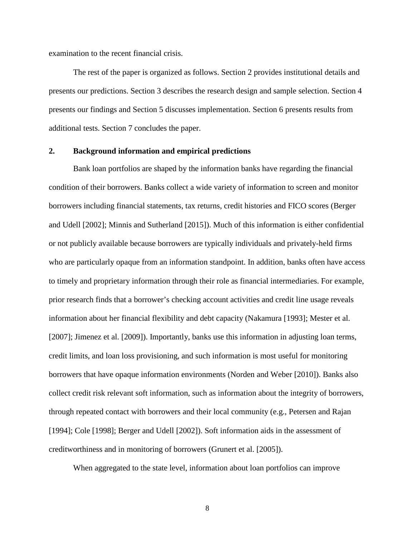examination to the recent financial crisis.

The rest of the paper is organized as follows. Section 2 provides institutional details and presents our predictions. Section 3 describes the research design and sample selection. Section 4 presents our findings and Section 5 discusses implementation. Section 6 presents results from additional tests. Section 7 concludes the paper.

## **2. Background information and empirical predictions**

Bank loan portfolios are shaped by the information banks have regarding the financial condition of their borrowers. Banks collect a wide variety of information to screen and monitor borrowers including financial statements, tax returns, credit histories and FICO scores (Berger and Udell [2002]; Minnis and Sutherland [2015]). Much of this information is either confidential or not publicly available because borrowers are typically individuals and privately-held firms who are particularly opaque from an information standpoint. In addition, banks often have access to timely and proprietary information through their role as financial intermediaries. For example, prior research finds that a borrower's checking account activities and credit line usage reveals information about her financial flexibility and debt capacity (Nakamura [1993]; Mester et al. [2007]; Jimenez et al. [2009]). Importantly, banks use this information in adjusting loan terms, credit limits, and loan loss provisioning, and such information is most useful for monitoring borrowers that have opaque information environments (Norden and Weber [2010]). Banks also collect credit risk relevant soft information, such as information about the integrity of borrowers, through repeated contact with borrowers and their local community (e.g., Petersen and Rajan [1994]; Cole [1998]; Berger and Udell [2002]). Soft information aids in the assessment of creditworthiness and in monitoring of borrowers (Grunert et al. [2005]).

When aggregated to the state level, information about loan portfolios can improve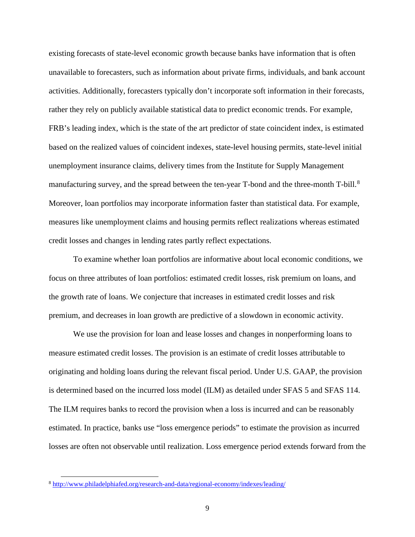existing forecasts of state-level economic growth because banks have information that is often unavailable to forecasters, such as information about private firms, individuals, and bank account activities. Additionally, forecasters typically don't incorporate soft information in their forecasts, rather they rely on publicly available statistical data to predict economic trends. For example, FRB's leading index, which is the state of the art predictor of state coincident index, is estimated based on the realized values of coincident indexes, state-level housing permits, state-level initial unemployment insurance claims, delivery times from the Institute for Supply Management manufacturing survey, and the spread between the ten-year T-bond and the three-month T-bill.<sup>[8](#page-10-0)</sup> Moreover, loan portfolios may incorporate information faster than statistical data. For example, measures like unemployment claims and housing permits reflect realizations whereas estimated credit losses and changes in lending rates partly reflect expectations.

To examine whether loan portfolios are informative about local economic conditions, we focus on three attributes of loan portfolios: estimated credit losses, risk premium on loans, and the growth rate of loans. We conjecture that increases in estimated credit losses and risk premium, and decreases in loan growth are predictive of a slowdown in economic activity.

We use the provision for loan and lease losses and changes in nonperforming loans to measure estimated credit losses. The provision is an estimate of credit losses attributable to originating and holding loans during the relevant fiscal period. Under U.S. GAAP, the provision is determined based on the incurred loss model (ILM) as detailed under SFAS 5 and SFAS 114. The ILM requires banks to record the provision when a loss is incurred and can be reasonably estimated. In practice, banks use "loss emergence periods" to estimate the provision as incurred losses are often not observable until realization. Loss emergence period extends forward from the

<span id="page-10-0"></span><sup>8</sup> <http://www.philadelphiafed.org/research-and-data/regional-economy/indexes/leading/>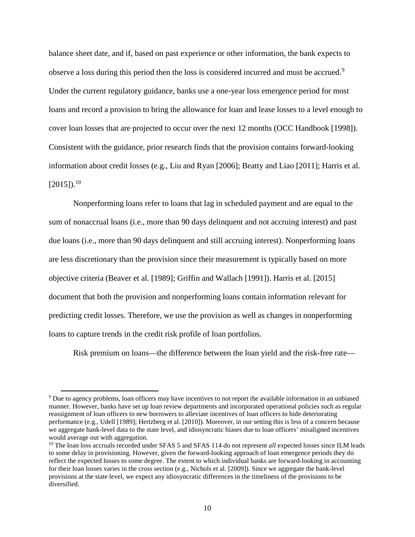balance sheet date, and if, based on past experience or other information, the bank expects to observe a loss during this period then the loss is considered incurred and must be accrued.<sup>[9](#page-11-0)</sup> Under the current regulatory guidance, banks use a one-year loss emergence period for most loans and record a provision to bring the allowance for loan and lease losses to a level enough to cover loan losses that are projected to occur over the next 12 months (OCC Handbook [1998]). Consistent with the guidance, prior research finds that the provision contains forward-looking information about credit losses (e.g., Liu and Ryan [2006]; Beatty and Liao [2011]; Harris et al.  $[2015]$ <sup>[10](#page-11-1)</sup>

Nonperforming loans refer to loans that lag in scheduled payment and are equal to the sum of nonaccrual loans (i.e., more than 90 days delinquent and not accruing interest) and past due loans (i.e., more than 90 days delinquent and still accruing interest). Nonperforming loans are less discretionary than the provision since their measurement is typically based on more objective criteria (Beaver et al. [1989]; Griffin and Wallach [1991]). Harris et al. [2015] document that both the provision and nonperforming loans contain information relevant for predicting credit losses. Therefore, we use the provision as well as changes in nonperforming loans to capture trends in the credit risk profile of loan portfolios.

Risk premium on loans—the difference between the loan yield and the risk-free rate—

 $\overline{\phantom{a}}$ 

<span id="page-11-0"></span><sup>9</sup> Due to agency problems, loan officers may have incentives to not report the available information in an unbiased manner. However, banks have set up loan review departments and incorporated operational policies such as regular reassignment of loan officers to new borrowers to alleviate incentives of loan officers to hide deteriorating performance (e.g., Udell [1989]; Hertzberg et al. [2010]). Moreover, in our setting this is less of a concern because we aggregate bank-level data to the state level, and idiosyncratic biases due to loan officers' misaligned incentives would average out with aggregation.

<span id="page-11-1"></span><sup>&</sup>lt;sup>10</sup> The loan loss accruals recorded under SFAS 5 and SFAS 114 do not represent *all* expected losses since ILM leads to some delay in provisioning. However, given the forward-looking approach of loan emergence periods they do reflect the expected losses to some degree. The extent to which individual banks are forward-looking in accounting for their loan losses varies in the cross section (e.g., Nichols et al. [2009]). Since we aggregate the bank-level provisions at the state level, we expect any idiosyncratic differences in the timeliness of the provisions to be diversified.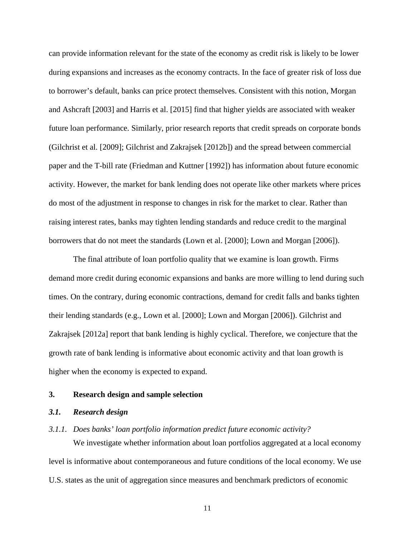can provide information relevant for the state of the economy as credit risk is likely to be lower during expansions and increases as the economy contracts. In the face of greater risk of loss due to borrower's default, banks can price protect themselves. Consistent with this notion, Morgan and Ashcraft [2003] and Harris et al. [2015] find that higher yields are associated with weaker future loan performance. Similarly, prior research reports that credit spreads on corporate bonds (Gilchrist et al. [2009]; Gilchrist and Zakrajsek [2012b]) and the spread between commercial paper and the T-bill rate (Friedman and Kuttner [1992]) has information about future economic activity. However, the market for bank lending does not operate like other markets where prices do most of the adjustment in response to changes in risk for the market to clear. Rather than raising interest rates, banks may tighten lending standards and reduce credit to the marginal borrowers that do not meet the standards (Lown et al. [2000]; Lown and Morgan [2006]).

The final attribute of loan portfolio quality that we examine is loan growth. Firms demand more credit during economic expansions and banks are more willing to lend during such times. On the contrary, during economic contractions, demand for credit falls and banks tighten their lending standards (e.g., Lown et al. [2000]; Lown and Morgan [2006]). Gilchrist and Zakrajsek [2012a] report that bank lending is highly cyclical. Therefore, we conjecture that the growth rate of bank lending is informative about economic activity and that loan growth is higher when the economy is expected to expand.

### **3. Research design and sample selection**

# *3.1. Research design*

# *3.1.1. Does banks' loan portfolio information predict future economic activity?* We investigate whether information about loan portfolios aggregated at a local economy level is informative about contemporaneous and future conditions of the local economy. We use

U.S. states as the unit of aggregation since measures and benchmark predictors of economic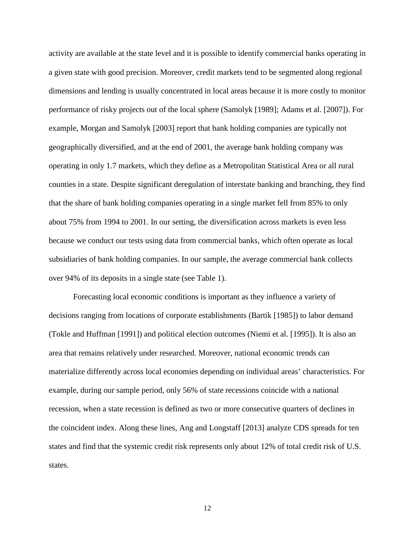activity are available at the state level and it is possible to identify commercial banks operating in a given state with good precision. Moreover, credit markets tend to be segmented along regional dimensions and lending is usually concentrated in local areas because it is more costly to monitor performance of risky projects out of the local sphere (Samolyk [1989]; Adams et al. [2007]). For example, Morgan and Samolyk [2003] report that bank holding companies are typically not geographically diversified, and at the end of 2001, the average bank holding company was operating in only 1.7 markets, which they define as a Metropolitan Statistical Area or all rural counties in a state. Despite significant deregulation of interstate banking and branching, they find that the share of bank holding companies operating in a single market fell from 85% to only about 75% from 1994 to 2001. In our setting, the diversification across markets is even less because we conduct our tests using data from commercial banks, which often operate as local subsidiaries of bank holding companies. In our sample, the average commercial bank collects over 94% of its deposits in a single state (see Table 1).

Forecasting local economic conditions is important as they influence a variety of decisions ranging from locations of corporate establishments (Bartik [1985]) to labor demand (Tokle and Huffman [1991]) and political election outcomes (Niemi et al. [1995]). It is also an area that remains relatively under researched. Moreover, national economic trends can materialize differently across local economies depending on individual areas' characteristics. For example, during our sample period, only 56% of state recessions coincide with a national recession, when a state recession is defined as two or more consecutive quarters of declines in the coincident index. Along these lines, Ang and Longstaff [2013] analyze CDS spreads for ten states and find that the systemic credit risk represents only about 12% of total credit risk of U.S. states.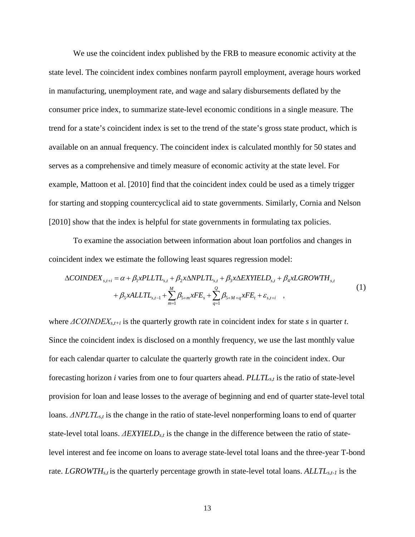We use the coincident index published by the FRB to measure economic activity at the state level. The coincident index combines nonfarm payroll employment, average hours worked in manufacturing, unemployment rate, and wage and salary disbursements deflated by the consumer price index, to summarize state-level economic conditions in a single measure. The trend for a state's coincident index is set to the trend of the state's gross state product, which is available on an annual frequency. The coincident index is calculated monthly for 50 states and serves as a comprehensive and timely measure of economic activity at the state level. For example, Mattoon et al. [2010] find that the coincident index could be used as a timely trigger for starting and stopping countercyclical aid to state governments. Similarly, Cornia and Nelson [2010] show that the index is helpful for state governments in formulating tax policies.

To examine the association between information about loan portfolios and changes in coincident index we estimate the following least squares regression model:

$$
\Delta COINDEX_{s,t+i} = \alpha + \beta_1 x PLTL_{s,t} + \beta_2 x \Delta NPLTL_{s,t} + \beta_3 x \Delta EXYIELD_{s,t} + \beta_4 x LGROWTH_{s,t} + \beta_5 x ALLTL_{s,t-1} + \sum_{m=1}^{M} \beta_{5+m} xFE_s + \sum_{q=1}^{Q} \beta_{5+M+q} xFE_t + \varepsilon_{s,t+i} ,
$$
\n(1)

where *ΔCOINDEXs,t+i* is the quarterly growth rate in coincident index for state *s* in quarter *t*. Since the coincident index is disclosed on a monthly frequency, we use the last monthly value for each calendar quarter to calculate the quarterly growth rate in the coincident index. Our forecasting horizon *i* varies from one to four quarters ahead. *PLLTLs,t* is the ratio of state-level provision for loan and lease losses to the average of beginning and end of quarter state-level total loans. *ΔNPLTLs,t* is the change in the ratio of state-level nonperforming loans to end of quarter state-level total loans. *ΔEXYIELDs,t* is the change in the difference between the ratio of statelevel interest and fee income on loans to average state-level total loans and the three-year T-bond rate. *LGROWTH<sub>s,t</sub>* is the quarterly percentage growth in state-level total loans. *ALLTL<sub>s,t-1</sub>* is the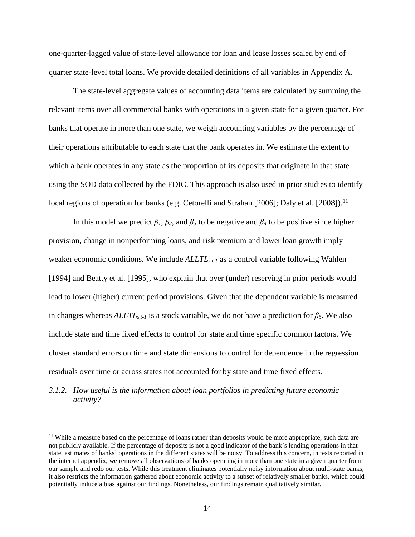one-quarter-lagged value of state-level allowance for loan and lease losses scaled by end of quarter state-level total loans. We provide detailed definitions of all variables in Appendix A.

The state-level aggregate values of accounting data items are calculated by summing the relevant items over all commercial banks with operations in a given state for a given quarter. For banks that operate in more than one state, we weigh accounting variables by the percentage of their operations attributable to each state that the bank operates in. We estimate the extent to which a bank operates in any state as the proportion of its deposits that originate in that state using the SOD data collected by the FDIC. This approach is also used in prior studies to identify local regions of operation for banks (e.g. Cetorelli and Strahan [2006]; Daly et al. [2008]).<sup>[11](#page-15-0)</sup>

In this model we predict  $\beta_1$ ,  $\beta_2$ , and  $\beta_3$  to be negative and  $\beta_4$  to be positive since higher provision, change in nonperforming loans, and risk premium and lower loan growth imply weaker economic conditions. We include *ALLTLs,t-1* as a control variable following Wahlen [1994] and Beatty et al. [1995], who explain that over (under) reserving in prior periods would lead to lower (higher) current period provisions. Given that the dependent variable is measured in changes whereas  $ALLTL_{s,t-1}$  is a stock variable, we do not have a prediction for  $\beta_5$ . We also include state and time fixed effects to control for state and time specific common factors. We cluster standard errors on time and state dimensions to control for dependence in the regression residuals over time or across states not accounted for by state and time fixed effects.

*3.1.2. How useful is the information about loan portfolios in predicting future economic activity?*

<span id="page-15-0"></span> $11$  While a measure based on the percentage of loans rather than deposits would be more appropriate, such data are not publicly available. If the percentage of deposits is not a good indicator of the bank's lending operations in that state, estimates of banks' operations in the different states will be noisy. To address this concern, in tests reported in the internet appendix, we remove all observations of banks operating in more than one state in a given quarter from our sample and redo our tests. While this treatment eliminates potentially noisy information about multi-state banks, it also restricts the information gathered about economic activity to a subset of relatively smaller banks, which could potentially induce a bias against our findings. Nonetheless, our findings remain qualitatively similar.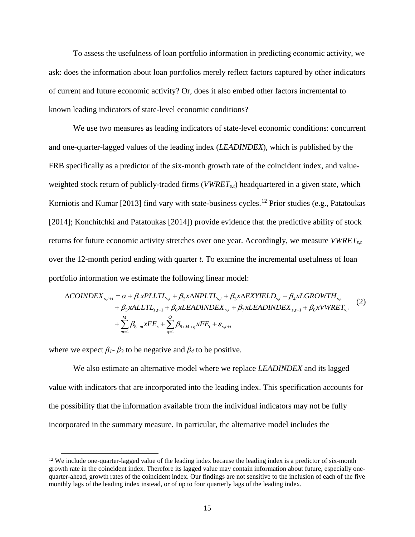To assess the usefulness of loan portfolio information in predicting economic activity, we ask: does the information about loan portfolios merely reflect factors captured by other indicators of current and future economic activity? Or, does it also embed other factors incremental to known leading indicators of state-level economic conditions?

We use two measures as leading indicators of state-level economic conditions: concurrent and one-quarter-lagged values of the leading index (*LEADINDEX*), which is published by the FRB specifically as a predictor of the six-month growth rate of the coincident index, and valueweighted stock return of publicly-traded firms (*VWRETs,t*) headquartered in a given state, which Korniotis and Kumar [2013] find vary with state-business cycles.<sup>[12](#page-16-0)</sup> Prior studies (e.g., Patatoukas [2014]; Konchitchki and Patatoukas [2014]) provide evidence that the predictive ability of stock returns for future economic activity stretches over one year. Accordingly, we measure *VWRETs,t* over the 12-month period ending with quarter *t*. To examine the incremental usefulness of loan portfolio information we estimate the following linear model:

$$
\Delta COINDEX_{s,t+i} = \alpha + \beta_1 x PLTIL_{s,t} + \beta_2 x \Delta NPLTL_{s,t} + \beta_3 x \Delta EXYIELD_{s,t} + \beta_4 x LGROWTH_{s,t} + \beta_5 x ALLTL_{s,t-1} + \beta_6 xLEADINDER_{s,t} + \beta_7 xLEADINDER_{s,t-1} + \beta_8 x VWERT_{s,t}
$$
(2)  
+ 
$$
\sum_{m=1}^{M} \beta_{8+m} xFE_s + \sum_{q=1}^{Q} \beta_{8+M+q} xFE_t + \varepsilon_{s,t+i}
$$

where we expect  $\beta_1$ -  $\beta_3$  to be negative and  $\beta_4$  to be positive.

l

We also estimate an alternative model where we replace *LEADINDEX* and its lagged value with indicators that are incorporated into the leading index. This specification accounts for the possibility that the information available from the individual indicators may not be fully incorporated in the summary measure. In particular, the alternative model includes the

<span id="page-16-0"></span> $12$  We include one-quarter-lagged value of the leading index because the leading index is a predictor of six-month growth rate in the coincident index. Therefore its lagged value may contain information about future, especially onequarter-ahead, growth rates of the coincident index. Our findings are not sensitive to the inclusion of each of the five monthly lags of the leading index instead, or of up to four quarterly lags of the leading index.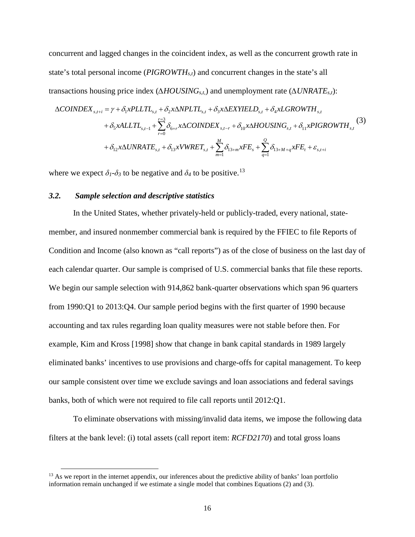concurrent and lagged changes in the coincident index, as well as the concurrent growth rate in state's total personal income (*PIGROWTHs,t*) and concurrent changes in the state's all transactions housing price index (*∆HOUSINGs,t,*) and unemployment rate (*∆UNRATEs,t*):

$$
\Delta COINDEX_{s,t+i} = \gamma + \delta_1 x PLITL_{s,t} + \delta_2 x \Delta NPLTL_{s,t} + \delta_3 x \Delta EXYIELD_{s,t} + \delta_4 x LGROWTH_{s,t} + \delta_5 x ALLTL_{s,t-1} + \sum_{r=0}^{r=3} \delta_{6+r} x \Delta COINDEX_{s,t-r} + \delta_{10} x \Delta HOUSING_{s,t} + \delta_{11} xPIGROWTH_{s,t}
$$
\n
$$
+ \delta_{12} x \Delta UNRATE_{s,t} + \delta_{13} x VWRET_{s,t} + \sum_{m=1}^{M} \delta_{13+m} xFE_s + \sum_{q=1}^{Q} \delta_{13+M+q} xFE_t + \varepsilon_{s,t+i}
$$
\n
$$
(3)
$$

where we expect  $\delta_l$ - $\delta_3$  to be negative and  $\delta_4$  to be positive.<sup>[13](#page-17-0)</sup>

# *3.2. Sample selection and descriptive statistics*

l

In the United States, whether privately-held or publicly-traded, every national, statemember, and insured nonmember commercial bank is required by the FFIEC to file Reports of Condition and Income (also known as "call reports") as of the close of business on the last day of each calendar quarter. Our sample is comprised of U.S. commercial banks that file these reports. We begin our sample selection with 914,862 bank-quarter observations which span 96 quarters from 1990:Q1 to 2013:Q4. Our sample period begins with the first quarter of 1990 because accounting and tax rules regarding loan quality measures were not stable before then. For example, Kim and Kross [1998] show that change in bank capital standards in 1989 largely eliminated banks' incentives to use provisions and charge-offs for capital management. To keep our sample consistent over time we exclude savings and loan associations and federal savings banks, both of which were not required to file call reports until 2012:Q1.

To eliminate observations with missing/invalid data items, we impose the following data filters at the bank level: (i) total assets (call report item: *RCFD2170*) and total gross loans

<span id="page-17-0"></span> $<sup>13</sup>$  As we report in the internet appendix, our inferences about the predictive ability of banks' loan portfolio</sup> information remain unchanged if we estimate a single model that combines Equations (2) and (3).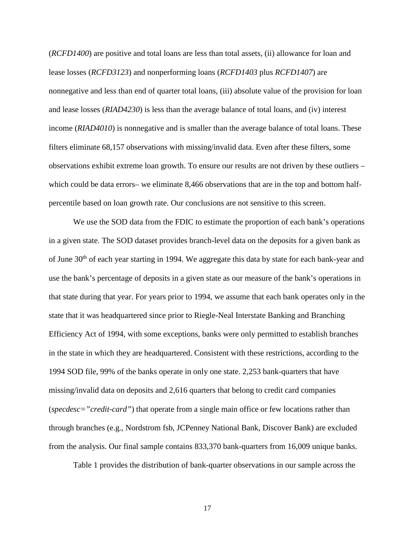(*RCFD1400*) are positive and total loans are less than total assets, (ii) allowance for loan and lease losses (*RCFD3123*) and nonperforming loans (*RCFD1403* plus *RCFD1407*) are nonnegative and less than end of quarter total loans, (iii) absolute value of the provision for loan and lease losses (*RIAD4230*) is less than the average balance of total loans, and (iv) interest income (*RIAD4010*) is nonnegative and is smaller than the average balance of total loans. These filters eliminate 68,157 observations with missing/invalid data. Even after these filters, some observations exhibit extreme loan growth. To ensure our results are not driven by these outliers – which could be data errors– we eliminate 8,466 observations that are in the top and bottom halfpercentile based on loan growth rate. Our conclusions are not sensitive to this screen.

We use the SOD data from the FDIC to estimate the proportion of each bank's operations in a given state. The SOD dataset provides branch-level data on the deposits for a given bank as of June 30<sup>th</sup> of each year starting in 1994. We aggregate this data by state for each bank-year and use the bank's percentage of deposits in a given state as our measure of the bank's operations in that state during that year. For years prior to 1994, we assume that each bank operates only in the state that it was headquartered since prior to Riegle-Neal Interstate Banking and Branching Efficiency Act of 1994, with some exceptions, banks were only permitted to establish branches in the state in which they are headquartered. Consistent with these restrictions, according to the 1994 SOD file, 99% of the banks operate in only one state. 2,253 bank-quarters that have missing/invalid data on deposits and 2,616 quarters that belong to credit card companies (*specdesc="credit-card"*) that operate from a single main office or few locations rather than through branches (e.g., Nordstrom fsb, JCPenney National Bank, Discover Bank) are excluded from the analysis. Our final sample contains 833,370 bank-quarters from 16,009 unique banks.

Table 1 provides the distribution of bank-quarter observations in our sample across the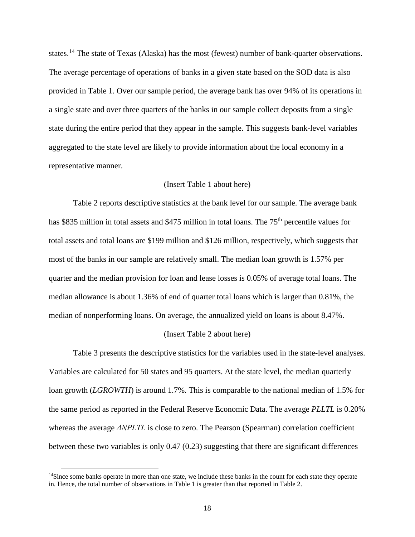states.<sup>[14](#page-19-0)</sup> The state of Texas (Alaska) has the most (fewest) number of bank-quarter observations. The average percentage of operations of banks in a given state based on the SOD data is also provided in Table 1. Over our sample period, the average bank has over 94% of its operations in a single state and over three quarters of the banks in our sample collect deposits from a single state during the entire period that they appear in the sample. This suggests bank-level variables aggregated to the state level are likely to provide information about the local economy in a representative manner.

# (Insert Table 1 about here)

Table 2 reports descriptive statistics at the bank level for our sample. The average bank has \$835 million in total assets and \$475 million in total loans. The 75<sup>th</sup> percentile values for total assets and total loans are \$199 million and \$126 million, respectively, which suggests that most of the banks in our sample are relatively small. The median loan growth is 1.57% per quarter and the median provision for loan and lease losses is 0.05% of average total loans. The median allowance is about 1.36% of end of quarter total loans which is larger than 0.81%, the median of nonperforming loans. On average, the annualized yield on loans is about 8.47%.

### (Insert Table 2 about here)

[Table 3](#page-45-0) presents the descriptive statistics for the variables used in the state-level analyses. Variables are calculated for 50 states and 95 quarters. At the state level, the median quarterly loan growth (*LGROWTH*) is around 1.7%. This is comparable to the national median of 1.5% for the same period as reported in the Federal Reserve Economic Data. The average *PLLTL* is 0.20% whereas the average *ΔNPLTL* is close to zero. The Pearson (Spearman) correlation coefficient between these two variables is only 0.47 (0.23) suggesting that there are significant differences

<span id="page-19-0"></span><sup>&</sup>lt;sup>14</sup>Since some banks operate in more than one state, we include these banks in the count for each state they operate in. Hence, the total number of observations in Table 1 is greater than that reported in Table 2.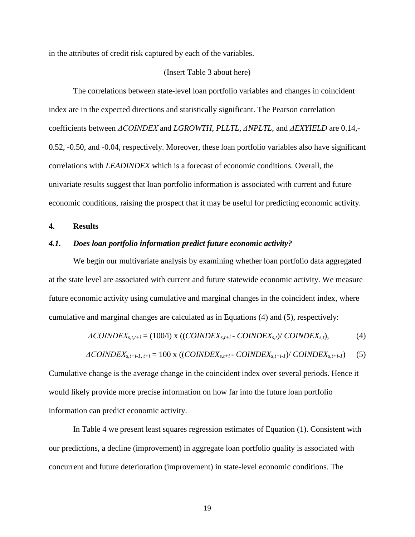in the attributes of credit risk captured by each of the variables.

# (Insert [Table 3](#page-45-0) about here)

The correlations between state-level loan portfolio variables and changes in coincident index are in the expected directions and statistically significant. The Pearson correlation coefficients between *ΔCOINDEX* and *LGROWTH*, *PLLTL*, *ΔNPLTL*, and *ΔEXYIELD* are 0.14,- 0.52, -0.50, and -0.04, respectively. Moreover, these loan portfolio variables also have significant correlations with *LEADINDEX* which is a forecast of economic conditions. Overall, the univariate results suggest that loan portfolio information is associated with current and future economic conditions, raising the prospect that it may be useful for predicting economic activity.

# **4. Results**

# *4.1. Does loan portfolio information predict future economic activity?*

We begin our multivariate analysis by examining whether loan portfolio data aggregated at the state level are associated with current and future statewide economic activity. We measure future economic activity using cumulative and marginal changes in the coincident index, where cumulative and marginal changes are calculated as in Equations (4) and (5), respectively:

$$
\Delta COINDEX_{s,t,t+i} = (100\text{h}) \times ((CONDEX_{s,t+i} - COINDEX_{s,t}) / COINDEX_{s,t}), \tag{4}
$$

$$
\Delta COINDEX_{s,t+i-l, t+i} = 100 \times ((CONDEX_{s,t+i} - COINDEX_{s,t+i-l})/ COINDEX_{s,t+i-l}) \quad (5)
$$

Cumulative change is the average change in the coincident index over several periods. Hence it would likely provide more precise information on how far into the future loan portfolio information can predict economic activity.

In Table 4 we present least squares regression estimates of Equation (1). Consistent with our predictions, a decline (improvement) in aggregate loan portfolio quality is associated with concurrent and future deterioration (improvement) in state-level economic conditions. The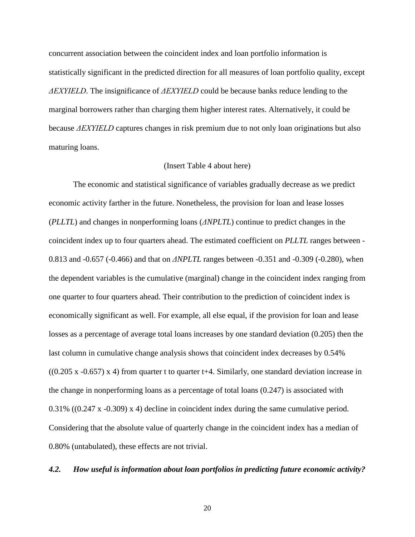concurrent association between the coincident index and loan portfolio information is statistically significant in the predicted direction for all measures of loan portfolio quality, except *ΔEXYIELD*. The insignificance of *ΔEXYIELD* could be because banks reduce lending to the marginal borrowers rather than charging them higher interest rates. Alternatively, it could be because *ΔEXYIELD* captures changes in risk premium due to not only loan originations but also maturing loans.

# (Insert [Table 4](#page-47-0) about here)

The economic and statistical significance of variables gradually decrease as we predict economic activity farther in the future. Nonetheless, the provision for loan and lease losses (*PLLTL*) and changes in nonperforming loans (*ΔNPLTL*) continue to predict changes in the coincident index up to four quarters ahead. The estimated coefficient on *PLLTL* ranges between - 0.813 and -0.657 (-0.466) and that on *ΔNPLTL* ranges between -0.351 and -0.309 (-0.280), when the dependent variables is the cumulative (marginal) change in the coincident index ranging from one quarter to four quarters ahead. Their contribution to the prediction of coincident index is economically significant as well. For example, all else equal, if the provision for loan and lease losses as a percentage of average total loans increases by one standard deviation (0.205) then the last column in cumulative change analysis shows that coincident index decreases by 0.54%  $((0.205 \times -0.657) \times 4)$  from quarter t to quarter t+4. Similarly, one standard deviation increase in the change in nonperforming loans as a percentage of total loans (0.247) is associated with 0.31% ((0.247 x -0.309) x 4) decline in coincident index during the same cumulative period. Considering that the absolute value of quarterly change in the coincident index has a median of 0.80% (untabulated), these effects are not trivial.

# *4.2. How useful is information about loan portfolios in predicting future economic activity?*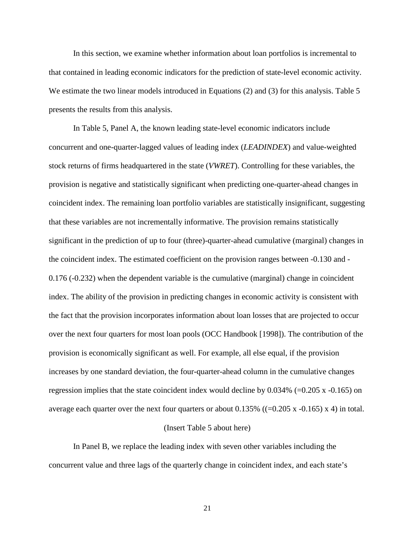In this section, we examine whether information about loan portfolios is incremental to that contained in leading economic indicators for the prediction of state-level economic activity. We estimate the two linear models introduced in Equations (2) and (3) for this analysis. [Table 5](#page-48-0) presents the results from this analysis.

In [Table 5,](#page-48-0) Panel A, the known leading state-level economic indicators include concurrent and one-quarter-lagged values of leading index (*LEADINDEX*) and value-weighted stock returns of firms headquartered in the state (*VWRET*). Controlling for these variables, the provision is negative and statistically significant when predicting one-quarter-ahead changes in coincident index. The remaining loan portfolio variables are statistically insignificant, suggesting that these variables are not incrementally informative. The provision remains statistically significant in the prediction of up to four (three)-quarter-ahead cumulative (marginal) changes in the coincident index. The estimated coefficient on the provision ranges between -0.130 and - 0.176 (-0.232) when the dependent variable is the cumulative (marginal) change in coincident index. The ability of the provision in predicting changes in economic activity is consistent with the fact that the provision incorporates information about loan losses that are projected to occur over the next four quarters for most loan pools (OCC Handbook [1998]). The contribution of the provision is economically significant as well. For example, all else equal, if the provision increases by one standard deviation, the four-quarter-ahead column in the cumulative changes regression implies that the state coincident index would decline by  $0.034\%$  (=0.205 x -0.165) on average each quarter over the next four quarters or about  $0.135\%$  ((=0.205 x -0.165) x 4) in total.

### (Insert [Table 5](#page-48-0) about here)

In Panel B, we replace the leading index with seven other variables including the concurrent value and three lags of the quarterly change in coincident index, and each state's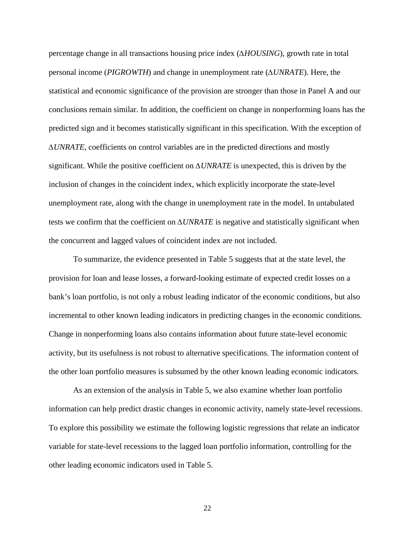percentage change in all transactions housing price index (*∆HOUSING*), growth rate in total personal income (*PIGROWTH*) and change in unemployment rate (*∆UNRATE*). Here, the statistical and economic significance of the provision are stronger than those in Panel A and our conclusions remain similar. In addition, the coefficient on change in nonperforming loans has the predicted sign and it becomes statistically significant in this specification. With the exception of *∆UNRATE*, coefficients on control variables are in the predicted directions and mostly significant. While the positive coefficient on *∆UNRATE* is unexpected, this is driven by the inclusion of changes in the coincident index, which explicitly incorporate the state-level unemployment rate, along with the change in unemployment rate in the model. In untabulated tests we confirm that the coefficient on *∆UNRATE* is negative and statistically significant when the concurrent and lagged values of coincident index are not included.

To summarize, the evidence presented in [Table 5](#page-48-0) suggests that at the state level, the provision for loan and lease losses, a forward-looking estimate of expected credit losses on a bank's loan portfolio, is not only a robust leading indicator of the economic conditions, but also incremental to other known leading indicators in predicting changes in the economic conditions. Change in nonperforming loans also contains information about future state-level economic activity, but its usefulness is not robust to alternative specifications. The information content of the other loan portfolio measures is subsumed by the other known leading economic indicators.

As an extension of the analysis in [Table 5,](#page-48-0) we also examine whether loan portfolio information can help predict drastic changes in economic activity, namely state-level recessions. To explore this possibility we estimate the following logistic regressions that relate an indicator variable for state-level recessions to the lagged loan portfolio information, controlling for the other leading economic indicators used in [Table 5.](#page-48-0)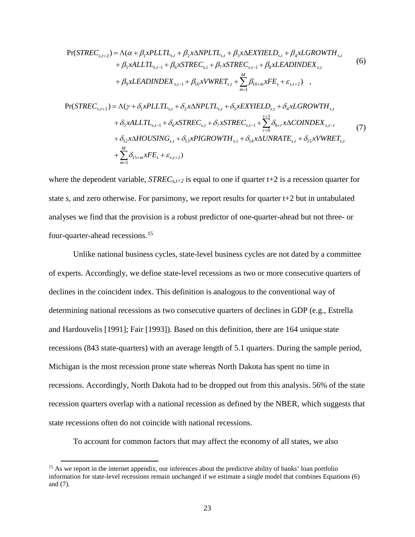$$
Pr(STREC_{s,t+2}) = \Lambda(\alpha + \beta_{1} x PLTLIL_{s,t} + \beta_{2} x \Delta NPLTL_{s,t} + \beta_{3} x \Delta EXYIELD_{s,t} + \beta_{4} x LGROWTH_{s,t} + \beta_{5} x ALLTL_{s,t-1} + \beta_{6} x STREC_{s,t} + \beta_{7} x STREC_{s,t-1} + \beta_{8} xLEADINDEX_{s,t} (6)
$$
  
+  $\beta_{9} xLEADINDEX_{s,t-1} + \beta_{10} x V WRET_{s,t} + \sum_{m=1}^{M} \beta_{10+m} xFE_{s} + \varepsilon_{s,t+2})$ ,  

$$
Pr(STREC_{s,t+2}) = \Lambda(\gamma + \delta_{1} x PLLTL_{s,t} + \delta_{2} x \Delta NPLTL_{s,t} + \delta_{3} x EXYIELD_{s,t} + \delta_{4} x LGROWTH_{s,t} + \delta_{5} x ALLTL_{s,t-1} + \delta_{6} x STREC_{s,t} + \delta_{7} x STREC_{s,t-1} + \sum_{r=0}^{r=3} \delta_{8+r} x \Delta COINDEX_{s,t-r} + \delta_{12} x \Delta HOUSING_{s,t} + \delta_{13} xPIGROWTH_{s,t} + \delta_{14} x \Delta UNRATE_{s,t} + \delta_{15} x V WRET_{s,t} + \sum_{m=1}^{M} \delta_{15+m} xFE_{s} + \varepsilon_{s,t+2})
$$
(7)

where the dependent variable,  $STREC_{s,t+2}$  is equal to one if quarter t+2 is a recession quarter for state  $s$ , and zero otherwise. For parsimony, we report results for quarter  $t+2$  but in untabulated analyses we find that the provision is a robust predictor of one-quarter-ahead but not three- or four-quarter-ahead recessions.[15](#page-24-0)

Unlike national business cycles, state-level business cycles are not dated by a committee of experts. Accordingly, we define state-level recessions as two or more consecutive quarters of declines in the coincident index. This definition is analogous to the conventional way of determining national recessions as two consecutive quarters of declines in GDP (e.g., Estrella and Hardouvelis [1991]; Fair [1993]). Based on this definition, there are 164 unique state recessions (843 state-quarters) with an average length of 5.1 quarters. During the sample period, Michigan is the most recession prone state whereas North Dakota has spent no time in recessions. Accordingly, North Dakota had to be dropped out from this analysis. 56% of the state recession quarters overlap with a national recession as defined by the NBER, which suggests that state recessions often do not coincide with national recessions.

To account for common factors that may affect the economy of all states, we also

 $\overline{\phantom{a}}$ 

<span id="page-24-0"></span><sup>&</sup>lt;sup>15</sup> As we report in the internet appendix, our inferences about the predictive ability of banks' loan portfolio information for state-level recessions remain unchanged if we estimate a single model that combines Equations (6) and (7).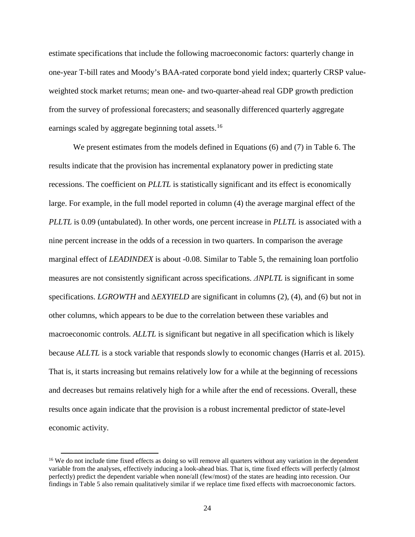estimate specifications that include the following macroeconomic factors: quarterly change in one-year T-bill rates and Moody's BAA-rated corporate bond yield index; quarterly CRSP valueweighted stock market returns; mean one- and two-quarter-ahead real GDP growth prediction from the survey of professional forecasters; and seasonally differenced quarterly aggregate earnings scaled by aggregate beginning total assets.<sup>[16](#page-25-0)</sup>

We present estimates from the models defined in Equations (6) and (7) in Table 6. The results indicate that the provision has incremental explanatory power in predicting state recessions. The coefficient on *PLLTL* is statistically significant and its effect is economically large. For example, in the full model reported in column (4) the average marginal effect of the *PLLTL* is 0.09 (untabulated). In other words, one percent increase in *PLLTL* is associated with a nine percent increase in the odds of a recession in two quarters. In comparison the average marginal effect of *LEADINDEX* is about -0.08. Similar to [Table 5,](#page-48-0) the remaining loan portfolio measures are not consistently significant across specifications. *ΔNPLTL* is significant in some specifications. *LGROWTH* and *∆EXYIELD* are significant in columns (2), (4), and (6) but not in other columns, which appears to be due to the correlation between these variables and macroeconomic controls. *ALLTL* is significant but negative in all specification which is likely because *ALLTL* is a stock variable that responds slowly to economic changes (Harris et al. 2015). That is, it starts increasing but remains relatively low for a while at the beginning of recessions and decreases but remains relatively high for a while after the end of recessions. Overall, these results once again indicate that the provision is a robust incremental predictor of state-level economic activity.

<span id="page-25-0"></span><sup>&</sup>lt;sup>16</sup> We do not include time fixed effects as doing so will remove all quarters without any variation in the dependent variable from the analyses, effectively inducing a look-ahead bias. That is, time fixed effects will perfectly (almost perfectly) predict the dependent variable when none/all (few/most) of the states are heading into recession. Our findings in Table 5 also remain qualitatively similar if we replace time fixed effects with macroeconomic factors.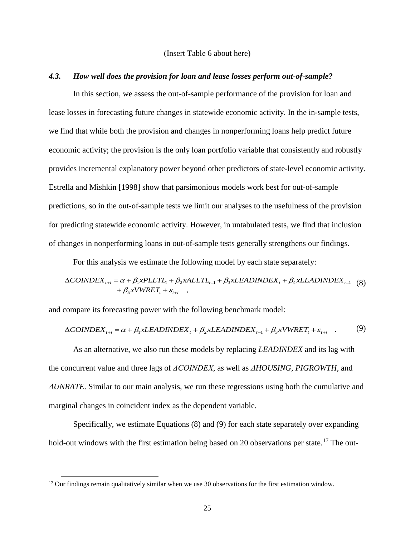## (Insert Table 6 about here)

# *4.3. How well does the provision for loan and lease losses perform out-of-sample?*

In this section, we assess the out-of-sample performance of the provision for loan and lease losses in forecasting future changes in statewide economic activity. In the in-sample tests, we find that while both the provision and changes in nonperforming loans help predict future economic activity; the provision is the only loan portfolio variable that consistently and robustly provides incremental explanatory power beyond other predictors of state-level economic activity. Estrella and Mishkin [1998] show that parsimonious models work best for out-of-sample predictions, so in the out-of-sample tests we limit our analyses to the usefulness of the provision for predicting statewide economic activity. However, in untabulated tests, we find that inclusion of changes in nonperforming loans in out-of-sample tests generally strengthens our findings.

For this analysis we estimate the following model by each state separately:

$$
\Delta COINDEX_{t+i} = \alpha + \beta_1 x PLTTL_t + \beta_2 x ALLTL_{t-1} + \beta_3 x LEADINDEX_t + \beta_4 x LEADINDEX_{t-1}
$$
 (8)  
+  $\beta_5 x V WRET_t + \varepsilon_{t+i}$ ,

and compare its forecasting power with the following benchmark model:

$$
\Delta COINDEX_{t+i} = \alpha + \beta_1 xLEADINDER_t + \beta_2 xLEADINDER_{t-1} + \beta_3 xVWERT_t + \varepsilon_{t+i} \quad . \tag{9}
$$

As an alternative, we also run these models by replacing *LEADINDEX* and its lag with the concurrent value and three lags of *ΔCOINDEX*, as well as *ΔHOUSING, PIGROWTH,* and *ΔUNRATE*. Similar to our main analysis, we run these regressions using both the cumulative and marginal changes in coincident index as the dependent variable.

Specifically, we estimate Equations (8) and (9) for each state separately over expanding hold-out windows with the first estimation being based on 20 observations per state.<sup>[17](#page-26-0)</sup> The out-

<span id="page-26-0"></span> $17$  Our findings remain qualitatively similar when we use 30 observations for the first estimation window.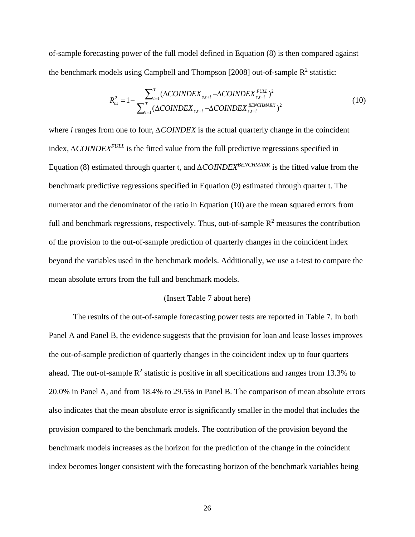of-sample forecasting power of the full model defined in Equation (8) is then compared against the benchmark models using Campbell and Thompson [2008] out-of-sample  $R^2$  statistic:

$$
R_{os}^{2} = 1 - \frac{\sum_{t=1}^{T} (\Delta COINDEX_{s,t+i} - \Delta COINDEX_{s,t+i}^{FUL})^{2}}{\sum_{t=1}^{T} (\Delta COINDEX_{s,t+i} - \Delta COINDEX_{s,t+i}^{BENCHMARK})^{2}}
$$
(10)

where *i* ranges from one to four, *∆COINDEX* is the actual quarterly change in the coincident index, *∆COINDEXFULL* is the fitted value from the full predictive regressions specified in Equation (8) estimated through quarter t, and *∆COINDEXBENCHMARK* is the fitted value from the benchmark predictive regressions specified in Equation (9) estimated through quarter t. The numerator and the denominator of the ratio in Equation (10) are the mean squared errors from full and benchmark regressions, respectively. Thus, out-of-sample  $R<sup>2</sup>$  measures the contribution of the provision to the out-of-sample prediction of quarterly changes in the coincident index beyond the variables used in the benchmark models. Additionally, we use a t-test to compare the mean absolute errors from the full and benchmark models.

## (Insert Table 7 about here)

The results of the out-of-sample forecasting power tests are reported in Table 7. In both Panel A and Panel B, the evidence suggests that the provision for loan and lease losses improves the out-of-sample prediction of quarterly changes in the coincident index up to four quarters ahead. The out-of-sample  $\mathbb{R}^2$  statistic is positive in all specifications and ranges from 13.3% to 20.0% in Panel A, and from 18.4% to 29.5% in Panel B. The comparison of mean absolute errors also indicates that the mean absolute error is significantly smaller in the model that includes the provision compared to the benchmark models. The contribution of the provision beyond the benchmark models increases as the horizon for the prediction of the change in the coincident index becomes longer consistent with the forecasting horizon of the benchmark variables being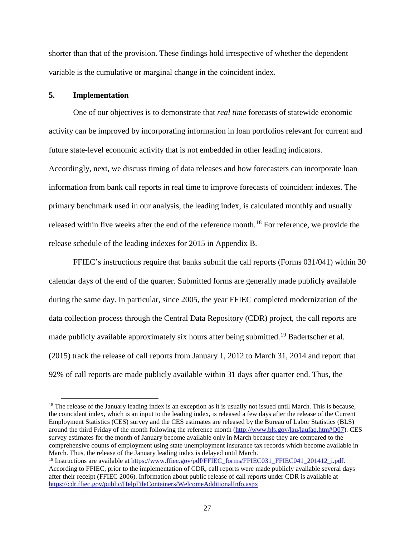shorter than that of the provision. These findings hold irrespective of whether the dependent variable is the cumulative or marginal change in the coincident index.

# **5. Implementation**

 $\overline{\phantom{a}}$ 

One of our objectives is to demonstrate that *real time* forecasts of statewide economic activity can be improved by incorporating information in loan portfolios relevant for current and future state-level economic activity that is not embedded in other leading indicators. Accordingly, next, we discuss timing of data releases and how forecasters can incorporate loan information from bank call reports in real time to improve forecasts of coincident indexes. The primary benchmark used in our analysis, the leading index, is calculated monthly and usually released within five weeks after the end of the reference month.<sup>[18](#page-28-0)</sup> For reference, we provide the release schedule of the leading indexes for 2015 in Appendix B.

FFIEC's instructions require that banks submit the call reports (Forms 031/041) within 30 calendar days of the end of the quarter. Submitted forms are generally made publicly available during the same day. In particular, since 2005, the year FFIEC completed modernization of the data collection process through the Central Data Repository (CDR) project, the call reports are made publicly available approximately six hours after being submitted.<sup>[19](#page-28-1)</sup> Badertscher et al. (2015) track the release of call reports from January 1, 2012 to March 31, 2014 and report that 92% of call reports are made publicly available within 31 days after quarter end. Thus, the

<span id="page-28-0"></span> $18$  The release of the January leading index is an exception as it is usually not issued until March. This is because, the coincident index, which is an input to the leading index, is released a few days after the release of the Current Employment Statistics (CES) survey and the CES estimates are released by the Bureau of Labor Statistics (BLS) around the third Friday of the month following the reference month [\(http://www.bls.gov/lau/laufaq.htm#Q07\)](http://www.bls.gov/lau/laufaq.htm#Q07). CES survey estimates for the month of January become available only in March because they are compared to the comprehensive counts of employment using state unemployment insurance tax records which become available in March. Thus, the release of the January leading index is delayed until March.

<span id="page-28-1"></span><sup>&</sup>lt;sup>19</sup> Instructions are available a[t https://www.ffiec.gov/pdf/FFIEC\\_forms/FFIEC031\\_FFIEC041\\_201412\\_i.pdf.](https://www.ffiec.gov/pdf/FFIEC_forms/FFIEC031_FFIEC041_201412_i.pdf) According to FFIEC, prior to the implementation of CDR, call reports were made publicly available several days after their receipt (FFIEC 2006). Information about public release of call reports under CDR is available at <https://cdr.ffiec.gov/public/HelpFileContainers/WelcomeAdditionalInfo.aspx>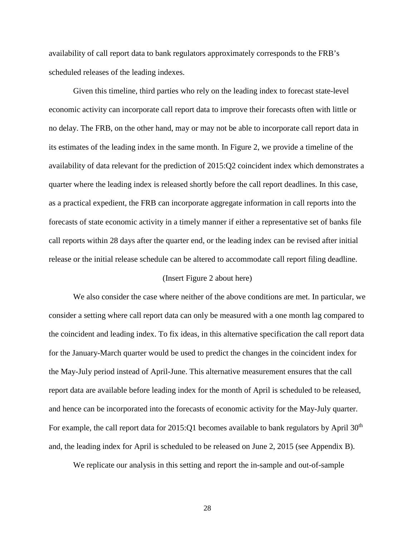availability of call report data to bank regulators approximately corresponds to the FRB's scheduled releases of the leading indexes.

Given this timeline, third parties who rely on the leading index to forecast state-level economic activity can incorporate call report data to improve their forecasts often with little or no delay. The FRB, on the other hand, may or may not be able to incorporate call report data in its estimates of the leading index in the same month. In Figure 2, we provide a timeline of the availability of data relevant for the prediction of 2015:Q2 coincident index which demonstrates a quarter where the leading index is released shortly before the call report deadlines. In this case, as a practical expedient, the FRB can incorporate aggregate information in call reports into the forecasts of state economic activity in a timely manner if either a representative set of banks file call reports within 28 days after the quarter end, or the leading index can be revised after initial release or the initial release schedule can be altered to accommodate call report filing deadline.

# (Insert Figure 2 about here)

We also consider the case where neither of the above conditions are met. In particular, we consider a setting where call report data can only be measured with a one month lag compared to the coincident and leading index. To fix ideas, in this alternative specification the call report data for the January-March quarter would be used to predict the changes in the coincident index for the May-July period instead of April-June. This alternative measurement ensures that the call report data are available before leading index for the month of April is scheduled to be released, and hence can be incorporated into the forecasts of economic activity for the May-July quarter. For example, the call report data for  $2015:Q1$  becomes available to bank regulators by April 30<sup>th</sup> and, the leading index for April is scheduled to be released on June 2, 2015 (see Appendix B).

We replicate our analysis in this setting and report the in-sample and out-of-sample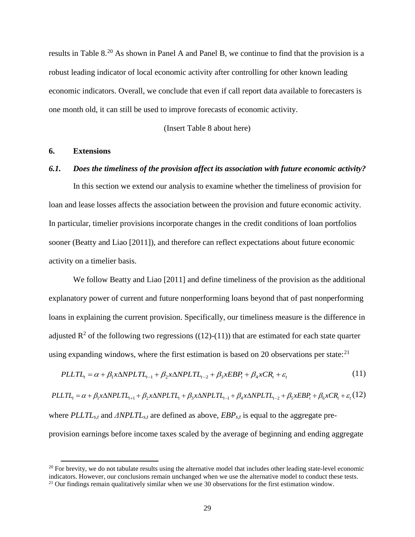results in Table 8.<sup>[20](#page-30-0)</sup> As shown in Panel A and Panel B, we continue to find that the provision is a robust leading indicator of local economic activity after controlling for other known leading economic indicators. Overall, we conclude that even if call report data available to forecasters is one month old, it can still be used to improve forecasts of economic activity.

(Insert Table 8 about here)

# **6. Extensions**

 $\overline{\phantom{a}}$ 

# *6.1. Does the timeliness of the provision affect its association with future economic activity?*

In this section we extend our analysis to examine whether the timeliness of provision for loan and lease losses affects the association between the provision and future economic activity. In particular, timelier provisions incorporate changes in the credit conditions of loan portfolios sooner (Beatty and Liao [2011]), and therefore can reflect expectations about future economic activity on a timelier basis.

We follow Beatty and Liao [2011] and define timeliness of the provision as the additional explanatory power of current and future nonperforming loans beyond that of past nonperforming loans in explaining the current provision. Specifically, our timeliness measure is the difference in adjusted  $\mathbb{R}^2$  of the following two regressions ((12)-(11)) that are estimated for each state quarter using expanding windows, where the first estimation is based on 20 observations per state:  $21$ 

$$
PLLTL_{t} = \alpha + \beta_{1}x\Delta NPLTL_{t-1} + \beta_{2}x\Delta NPLTL_{t-2} + \beta_{3}xEBP_{t} + \beta_{4}xCR_{t} + \varepsilon_{t}
$$
\n(11)

 $PLLTL_{i} = \alpha + \beta_{i} \times \Delta NPLTL_{i+1} + \beta_{i} \times \Delta NPLTL_{i} + \beta_{i} \times \Delta NPLTL_{i-1} + \beta_{i} \times \Delta NPLTL_{i-2} + \beta_{i} \times EBP_{i} + \beta_{i} \times CR_{i} + \varepsilon_{i}$ (12) where *PLLTLs,t* and *ΔNPLTLs,t* are defined as above, *EBPs,t* is equal to the aggregate preprovision earnings before income taxes scaled by the average of beginning and ending aggregate

<span id="page-30-0"></span> $20$  For brevity, we do not tabulate results using the alternative model that includes other leading state-level economic indicators. However, our conclusions remain unchanged when we use the alternative model to conduct these tests.

<span id="page-30-1"></span> $21$  Our findings remain qualitatively similar when we use 30 observations for the first estimation window.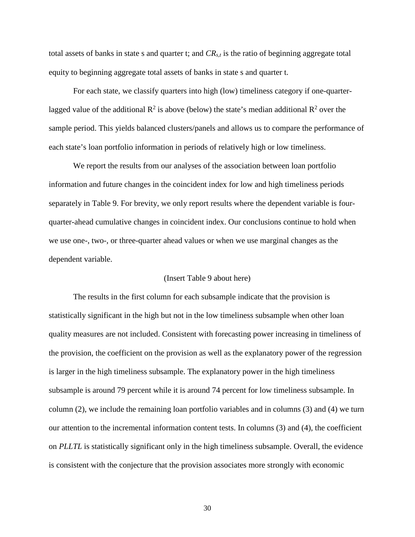total assets of banks in state s and quarter t; and  $CR_{s,t}$  is the ratio of beginning aggregate total equity to beginning aggregate total assets of banks in state s and quarter t.

For each state, we classify quarters into high (low) timeliness category if one-quarterlagged value of the additional  $R^2$  is above (below) the state's median additional  $R^2$  over the sample period. This yields balanced clusters/panels and allows us to compare the performance of each state's loan portfolio information in periods of relatively high or low timeliness.

We report the results from our analyses of the association between loan portfolio information and future changes in the coincident index for low and high timeliness periods separately in Table 9. For brevity, we only report results where the dependent variable is fourquarter-ahead cumulative changes in coincident index. Our conclusions continue to hold when we use one-, two-, or three-quarter ahead values or when we use marginal changes as the dependent variable.

### (Insert Table 9 about here)

The results in the first column for each subsample indicate that the provision is statistically significant in the high but not in the low timeliness subsample when other loan quality measures are not included. Consistent with forecasting power increasing in timeliness of the provision, the coefficient on the provision as well as the explanatory power of the regression is larger in the high timeliness subsample. The explanatory power in the high timeliness subsample is around 79 percent while it is around 74 percent for low timeliness subsample. In column (2), we include the remaining loan portfolio variables and in columns (3) and (4) we turn our attention to the incremental information content tests. In columns (3) and (4), the coefficient on *PLLTL* is statistically significant only in the high timeliness subsample. Overall, the evidence is consistent with the conjecture that the provision associates more strongly with economic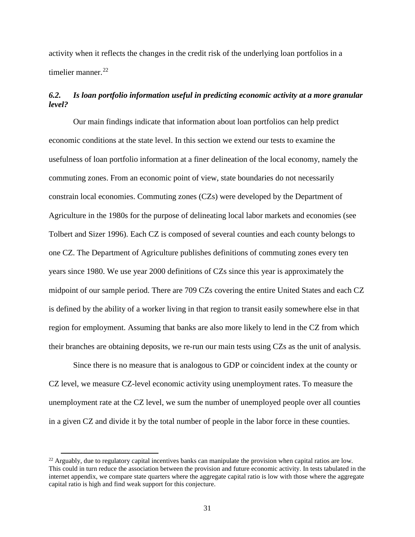activity when it reflects the changes in the credit risk of the underlying loan portfolios in a timelier manner.<sup>[22](#page-32-0)</sup>

# *6.2. Is loan portfolio information useful in predicting economic activity at a more granular level?*

Our main findings indicate that information about loan portfolios can help predict economic conditions at the state level. In this section we extend our tests to examine the usefulness of loan portfolio information at a finer delineation of the local economy, namely the commuting zones. From an economic point of view, state boundaries do not necessarily constrain local economies. Commuting zones (CZs) were developed by the Department of Agriculture in the 1980s for the purpose of delineating local labor markets and economies (see Tolbert and Sizer 1996). Each CZ is composed of several counties and each county belongs to one CZ. The Department of Agriculture publishes definitions of commuting zones every ten years since 1980. We use year 2000 definitions of CZs since this year is approximately the midpoint of our sample period. There are 709 CZs covering the entire United States and each CZ is defined by the ability of a worker living in that region to transit easily somewhere else in that region for employment. Assuming that banks are also more likely to lend in the CZ from which their branches are obtaining deposits, we re-run our main tests using CZs as the unit of analysis.

Since there is no measure that is analogous to GDP or coincident index at the county or CZ level, we measure CZ-level economic activity using unemployment rates. To measure the unemployment rate at the CZ level, we sum the number of unemployed people over all counties in a given CZ and divide it by the total number of people in the labor force in these counties.

<span id="page-32-0"></span> $^{22}$  Arguably, due to regulatory capital incentives banks can manipulate the provision when capital ratios are low. This could in turn reduce the association between the provision and future economic activity. In tests tabulated in the internet appendix, we compare state quarters where the aggregate capital ratio is low with those where the aggregate capital ratio is high and find weak support for this conjecture.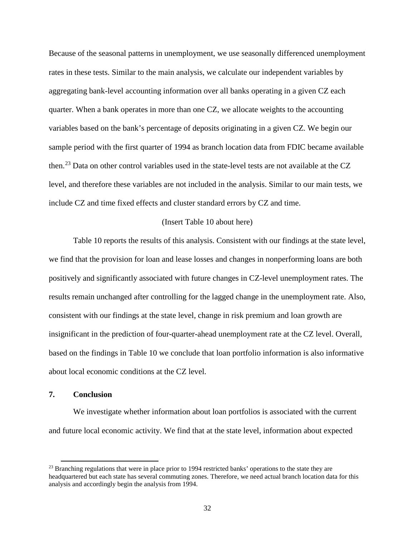Because of the seasonal patterns in unemployment, we use seasonally differenced unemployment rates in these tests. Similar to the main analysis, we calculate our independent variables by aggregating bank-level accounting information over all banks operating in a given CZ each quarter. When a bank operates in more than one CZ, we allocate weights to the accounting variables based on the bank's percentage of deposits originating in a given CZ. We begin our sample period with the first quarter of 1994 as branch location data from FDIC became available then.[23](#page-33-0) Data on other control variables used in the state-level tests are not available at the CZ level, and therefore these variables are not included in the analysis. Similar to our main tests, we include CZ and time fixed effects and cluster standard errors by CZ and time.

### (Insert Table 10 about here)

Table 10 reports the results of this analysis. Consistent with our findings at the state level, we find that the provision for loan and lease losses and changes in nonperforming loans are both positively and significantly associated with future changes in CZ-level unemployment rates. The results remain unchanged after controlling for the lagged change in the unemployment rate. Also, consistent with our findings at the state level, change in risk premium and loan growth are insignificant in the prediction of four-quarter-ahead unemployment rate at the CZ level. Overall, based on the findings in Table 10 we conclude that loan portfolio information is also informative about local economic conditions at the CZ level.

# **7. Conclusion**

 $\overline{\phantom{a}}$ 

We investigate whether information about loan portfolios is associated with the current and future local economic activity. We find that at the state level, information about expected

<span id="page-33-0"></span><sup>&</sup>lt;sup>23</sup> Branching regulations that were in place prior to 1994 restricted banks' operations to the state they are headquartered but each state has several commuting zones. Therefore, we need actual branch location data for this analysis and accordingly begin the analysis from 1994.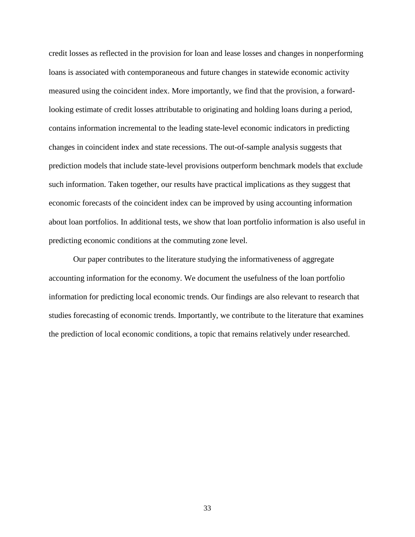credit losses as reflected in the provision for loan and lease losses and changes in nonperforming loans is associated with contemporaneous and future changes in statewide economic activity measured using the coincident index. More importantly, we find that the provision, a forwardlooking estimate of credit losses attributable to originating and holding loans during a period, contains information incremental to the leading state-level economic indicators in predicting changes in coincident index and state recessions. The out-of-sample analysis suggests that prediction models that include state-level provisions outperform benchmark models that exclude such information. Taken together, our results have practical implications as they suggest that economic forecasts of the coincident index can be improved by using accounting information about loan portfolios. In additional tests, we show that loan portfolio information is also useful in predicting economic conditions at the commuting zone level.

Our paper contributes to the literature studying the informativeness of aggregate accounting information for the economy. We document the usefulness of the loan portfolio information for predicting local economic trends. Our findings are also relevant to research that studies forecasting of economic trends. Importantly, we contribute to the literature that examines the prediction of local economic conditions, a topic that remains relatively under researched.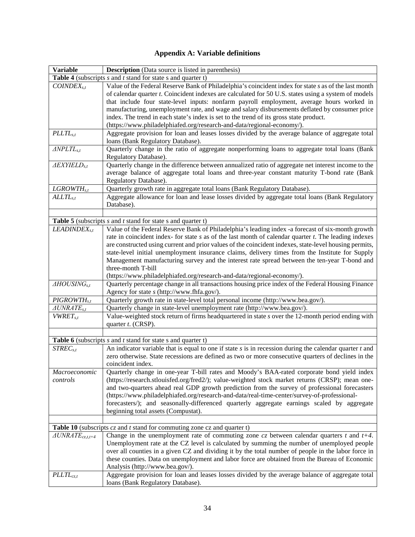| <b>Variable</b>               | <b>Description</b> (Data source is listed in parenthesis)                                                                                                                                                                                                                                                                                                                                                                                                                                                                                                                                                                    |
|-------------------------------|------------------------------------------------------------------------------------------------------------------------------------------------------------------------------------------------------------------------------------------------------------------------------------------------------------------------------------------------------------------------------------------------------------------------------------------------------------------------------------------------------------------------------------------------------------------------------------------------------------------------------|
|                               | <b>Table 4</b> (subscripts $s$ and $t$ stand for state $s$ and quarter $t$ )                                                                                                                                                                                                                                                                                                                                                                                                                                                                                                                                                 |
| $CONDEX_{s.t}$                | Value of the Federal Reserve Bank of Philadelphia's coincident index for state s as of the last month<br>of calendar quarter <i>t</i> . Coincident indexes are calculated for 50 U.S. states using a system of models<br>that include four state-level inputs: nonfarm payroll employment, average hours worked in<br>manufacturing, unemployment rate, and wage and salary disbursements deflated by consumer price<br>index. The trend in each state's index is set to the trend of its gross state product.<br>(https://www.philadelphiafed.org/research-and-data/regional-economy/).                                     |
| $PLLTL_{s.t}$                 | Aggregate provision for loan and leases losses divided by the average balance of aggregate total                                                                                                                                                                                                                                                                                                                                                                                                                                                                                                                             |
|                               | loans (Bank Regulatory Database).                                                                                                                                                                                                                                                                                                                                                                                                                                                                                                                                                                                            |
| $\triangle NPLTL_{s,t}$       | Quarterly change in the ratio of aggregate nonperforming loans to aggregate total loans (Bank<br>Regulatory Database).                                                                                                                                                                                                                                                                                                                                                                                                                                                                                                       |
| $A$ EXYIEL $D_{s,t}$          | Quarterly change in the difference between annualized ratio of aggregate net interest income to the<br>average balance of aggregate total loans and three-year constant maturity T-bond rate (Bank<br>Regulatory Database).                                                                                                                                                                                                                                                                                                                                                                                                  |
| $L$ GROWT $H_{s,t}$           | Quarterly growth rate in aggregate total loans (Bank Regulatory Database).                                                                                                                                                                                                                                                                                                                                                                                                                                                                                                                                                   |
| $ALLTL_{s,t}$                 | Aggregate allowance for loan and lease losses divided by aggregate total loans (Bank Regulatory<br>Database).                                                                                                                                                                                                                                                                                                                                                                                                                                                                                                                |
|                               |                                                                                                                                                                                                                                                                                                                                                                                                                                                                                                                                                                                                                              |
|                               | <b>Table 5</b> (subscripts $s$ and $t$ stand for state $s$ and quarter $t$ )                                                                                                                                                                                                                                                                                                                                                                                                                                                                                                                                                 |
| LEADINDEX <sub>s,t</sub>      | Value of the Federal Reserve Bank of Philadelphia's leading index -a forecast of six-month growth<br>rate in coincident index- for state $s$ as of the last month of calendar quarter $t$ . The leading indexes<br>are constructed using current and prior values of the coincident indexes, state-level housing permits,<br>state-level initial unemployment insurance claims, delivery times from the Institute for Supply<br>Management manufacturing survey and the interest rate spread between the ten-year T-bond and<br>three-month T-bill<br>(https://www.philadelphiafed.org/research-and-data/regional-economy/). |
| $\triangle HOUSING_{s,t}$     |                                                                                                                                                                                                                                                                                                                                                                                                                                                                                                                                                                                                                              |
|                               | Quarterly percentage change in all transactions housing price index of the Federal Housing Finance<br>Agency for state s (http://www.fhfa.gov/).                                                                                                                                                                                                                                                                                                                                                                                                                                                                             |
| $PIGROWTH_{s,t}$              | Quarterly growth rate in state-level total personal income (http://www.bea.gov/).                                                                                                                                                                                                                                                                                                                                                                                                                                                                                                                                            |
| $\triangle UNRATE_{s,t}$      | Quarterly change in state-level unemployment rate (http://www.bea.gov/).                                                                                                                                                                                                                                                                                                                                                                                                                                                                                                                                                     |
| $VWRET_{s.t}$                 | Value-weighted stock return of firms headquartered in state $s$ over the 12-month period ending with<br>quarter t. (CRSP).                                                                                                                                                                                                                                                                                                                                                                                                                                                                                                   |
|                               |                                                                                                                                                                                                                                                                                                                                                                                                                                                                                                                                                                                                                              |
|                               | <b>Table 6</b> (subscripts $s$ and $t$ stand for state $s$ and quarter $t$ )                                                                                                                                                                                                                                                                                                                                                                                                                                                                                                                                                 |
| $STREC_{s,t}$                 | An indicator variable that is equal to one if state $s$ is in recession during the calendar quarter $t$ and<br>zero otherwise. State recessions are defined as two or more consecutive quarters of declines in the<br>coincident index.                                                                                                                                                                                                                                                                                                                                                                                      |
| Macroeconomic                 | Quarterly change in one-year T-bill rates and Moody's BAA-rated corporate bond yield index                                                                                                                                                                                                                                                                                                                                                                                                                                                                                                                                   |
| controls                      | (https://research.stlouisfed.org/fred2/); value-weighted stock market returns (CRSP); mean one-                                                                                                                                                                                                                                                                                                                                                                                                                                                                                                                              |
|                               | and two-quarters ahead real GDP growth prediction from the survey of professional forecasters                                                                                                                                                                                                                                                                                                                                                                                                                                                                                                                                |
|                               | (https://www.philadelphiafed.org/research-and-data/real-time-center/survey-of-professional-                                                                                                                                                                                                                                                                                                                                                                                                                                                                                                                                  |
|                               | forecasters/); and seasonally-differenced quarterly aggregate earnings scaled by aggregate                                                                                                                                                                                                                                                                                                                                                                                                                                                                                                                                   |
|                               | beginning total assets (Compustat).                                                                                                                                                                                                                                                                                                                                                                                                                                                                                                                                                                                          |
|                               |                                                                                                                                                                                                                                                                                                                                                                                                                                                                                                                                                                                                                              |
|                               | Table 10 (subscripts $cz$ and $t$ stand for commuting zone $cz$ and quarter t)                                                                                                                                                                                                                                                                                                                                                                                                                                                                                                                                               |
| $\triangle UNRATE_{cz,t,t+4}$ | Change in the unemployment rate of commuting zone $cz$ between calendar quarters t and $t+4$ .<br>Unemployment rate at the CZ level is calculated by summing the number of unemployed people<br>over all counties in a given CZ and dividing it by the total number of people in the labor force in                                                                                                                                                                                                                                                                                                                          |
|                               | these counties. Data on unemployment and labor force are obtained from the Bureau of Economic                                                                                                                                                                                                                                                                                                                                                                                                                                                                                                                                |
|                               | Analysis (http://www.bea.gov/).                                                                                                                                                                                                                                                                                                                                                                                                                                                                                                                                                                                              |
| $PLLTL_{cz,t}$                | Aggregate provision for loan and leases losses divided by the average balance of aggregate total<br>loans (Bank Regulatory Database).                                                                                                                                                                                                                                                                                                                                                                                                                                                                                        |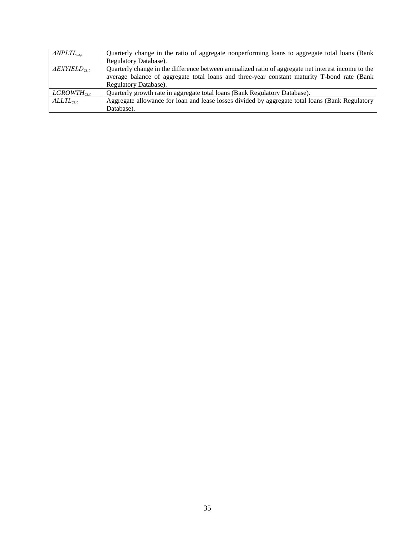| $\triangle NPLTL_{cz,t}$ | Quarterly change in the ratio of aggregate nonperforming loans to aggregate total loans (Bank       |
|--------------------------|-----------------------------------------------------------------------------------------------------|
|                          | Regulatory Database).                                                                               |
| $AEXY\text{IELD}_{cz,t}$ | Quarterly change in the difference between annualized ratio of aggregate net interest income to the |
|                          | average balance of aggregate total loans and three-year constant maturity T-bond rate (Bank         |
|                          | Regulatory Database).                                                                               |
| $L$ GROWTH $_{cz,t}$     | Quarterly growth rate in aggregate total loans (Bank Regulatory Database).                          |
| $ALLTL_{cz.t}$           | Aggregate allowance for loan and lease losses divided by aggregate total loans (Bank Regulatory     |
|                          | Database).                                                                                          |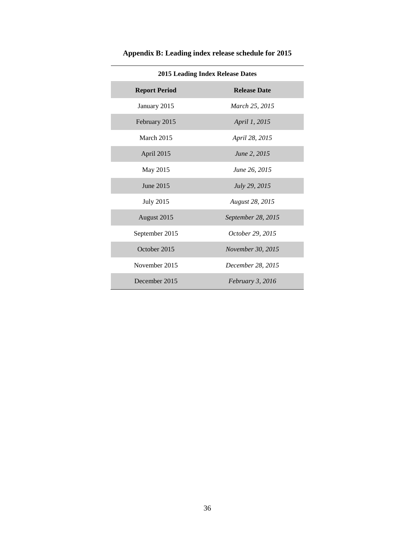| <b>2015 Leading Index Release Dates</b> |                          |  |  |  |  |  |  |
|-----------------------------------------|--------------------------|--|--|--|--|--|--|
| <b>Report Period</b>                    | <b>Release Date</b>      |  |  |  |  |  |  |
| January 2015                            | March 25, 2015           |  |  |  |  |  |  |
| February 2015                           | <i>April 1, 2015</i>     |  |  |  |  |  |  |
| March 2015                              | April 28, 2015           |  |  |  |  |  |  |
| April 2015                              | June 2, 2015             |  |  |  |  |  |  |
| May 2015                                | June 26, 2015            |  |  |  |  |  |  |
| June 2015                               | July 29, 2015            |  |  |  |  |  |  |
| <b>July 2015</b>                        | August 28, 2015          |  |  |  |  |  |  |
| August 2015                             | September 28, 2015       |  |  |  |  |  |  |
| September 2015                          | October 29, 2015         |  |  |  |  |  |  |
| October 2015                            | <i>November 30, 2015</i> |  |  |  |  |  |  |
| November 2015                           | December 28, 2015        |  |  |  |  |  |  |
| December 2015                           | February 3, 2016         |  |  |  |  |  |  |

**Appendix B: Leading index release schedule for 2015**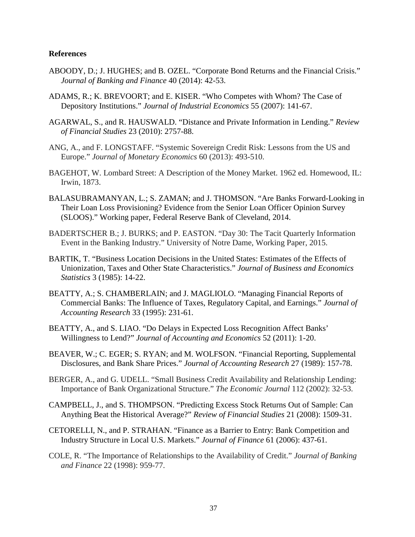# **References**

- ABOODY, D.; J. HUGHES; and B. OZEL. "Corporate Bond Returns and the Financial Crisis." *Journal of Banking and Finance* 40 (2014): 42-53.
- ADAMS, R.; K. BREVOORT; and E. KISER. "Who Competes with Whom? The Case of Depository Institutions." *Journal of Industrial Economics* 55 (2007): 141-67.
- AGARWAL, S., and R. HAUSWALD. "Distance and Private Information in Lending." *Review of Financial Studies* 23 (2010): 2757-88.
- ANG, A., and F. LONGSTAFF. "Systemic Sovereign Credit Risk: Lessons from the US and Europe." *Journal of Monetary Economics* 60 (2013): 493-510.
- BAGEHOT, W. Lombard Street: A Description of the Money Market. 1962 ed. Homewood, IL: Irwin, 1873.
- BALASUBRAMANYAN, L.; S. ZAMAN; and J. THOMSON. "Are Banks Forward-Looking in Their Loan Loss Provisioning? Evidence from the Senior Loan Officer Opinion Survey (SLOOS)." Working paper, Federal Reserve Bank of Cleveland, 2014.
- BADERTSCHER B.; J. BURKS; and P. EASTON. "Day 30: The Tacit Quarterly Information Event in the Banking Industry." University of Notre Dame, Working Paper, 2015.
- BARTIK, T. "Business Location Decisions in the United States: Estimates of the Effects of Unionization, Taxes and Other State Characteristics." *Journal of Business and Economics Statistics* 3 (1985): 14-22.
- BEATTY, A.; S. CHAMBERLAIN; and J. MAGLIOLO. "Managing Financial Reports of Commercial Banks: The Influence of Taxes, Regulatory Capital, and Earnings." *Journal of Accounting Research* 33 (1995): 231-61.
- BEATTY, A., and S. LIAO. "Do Delays in Expected Loss Recognition Affect Banks' Willingness to Lend?" *Journal of Accounting and Economics* 52 (2011): 1-20.
- BEAVER, W.; C. EGER; S. RYAN; and M. WOLFSON. "Financial Reporting, Supplemental Disclosures, and Bank Share Prices." *Journal of Accounting Research* 27 (1989): 157-78.
- BERGER, A., and G. UDELL. "Small Business Credit Availability and Relationship Lending: Importance of Bank Organizational Structure." *The Economic Journal* 112 (2002): 32-53.
- CAMPBELL, J., and S. THOMPSON. "Predicting Excess Stock Returns Out of Sample: Can Anything Beat the Historical Average?" *Review of Financial Studies* 21 (2008): 1509-31.
- CETORELLI, N., and P. STRAHAN. "Finance as a Barrier to Entry: Bank Competition and Industry Structure in Local U.S. Markets." *Journal of Finance* 61 (2006): 437-61.
- COLE, R. "The Importance of Relationships to the Availability of Credit." *Journal of Banking and Finance* 22 (1998): 959-77.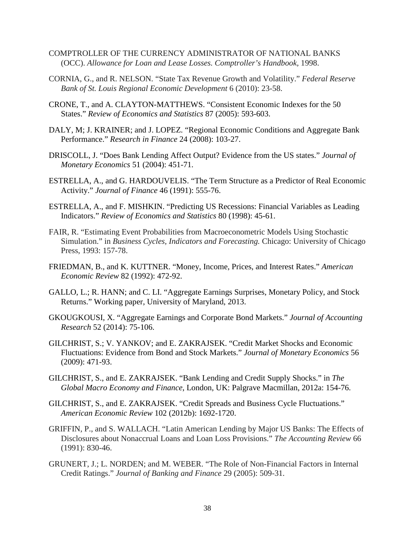- COMPTROLLER OF THE CURRENCY ADMINISTRATOR OF NATIONAL BANKS (OCC). *Allowance for Loan and Lease Losses. Comptroller's Handbook,* 1998.
- CORNIA, G., and R. NELSON. "State Tax Revenue Growth and Volatility." *Federal Reserve Bank of St. Louis Regional Economic Development* 6 (2010): 23-58.
- CRONE, T., and A. CLAYTON-MATTHEWS. "Consistent Economic Indexes for the 50 States." *Review of Economics and Statistics* 87 (2005): 593-603.
- DALY, M; J. KRAINER; and J. LOPEZ. "Regional Economic Conditions and Aggregate Bank Performance." *Research in Finance* 24 (2008): 103-27.
- DRISCOLL, J. "Does Bank Lending Affect Output? Evidence from the US states." *Journal of Monetary Economics* 51 (2004): 451-71.
- ESTRELLA, A., and G. HARDOUVELIS. "The Term Structure as a Predictor of Real Economic Activity." *Journal of Finance* 46 (1991): 555-76.
- ESTRELLA, A., and F. MISHKIN. "Predicting US Recessions: Financial Variables as Leading Indicators." *Review of Economics and Statistics* 80 (1998): 45-61.
- FAIR, R. "Estimating Event Probabilities from Macroeconometric Models Using Stochastic Simulation." in *Business Cycles, Indicators and Forecasting.* Chicago: University of Chicago Press, 1993: 157-78.
- FRIEDMAN, B., and K. KUTTNER. "Money, Income, Prices, and Interest Rates." *American Economic Review* 82 (1992): 472-92.
- GALLO, L.; R. HANN; and C. LI. "Aggregate Earnings Surprises, Monetary Policy, and Stock Returns." Working paper, University of Maryland, 2013.
- GKOUGKOUSI, X. "Aggregate Earnings and Corporate Bond Markets." *Journal of Accounting Research* 52 (2014): 75-106.
- GILCHRIST, S.; V. YANKOV; and E. ZAKRAJSEK. "Credit Market Shocks and Economic Fluctuations: Evidence from Bond and Stock Markets." *Journal of Monetary Economics* 56 (2009): 471-93.
- GILCHRIST, S., and E. ZAKRAJSEK. "Bank Lending and Credit Supply Shocks." in *The Global Macro Economy and Finance*, London, UK: Palgrave Macmillan, 2012a: 154-76.
- GILCHRIST, S., and E. ZAKRAJSEK. "Credit Spreads and Business Cycle Fluctuations." *American Economic Review* 102 (2012b): 1692-1720.
- GRIFFIN, P., and S. WALLACH. "Latin American Lending by Major US Banks: The Effects of Disclosures about Nonaccrual Loans and Loan Loss Provisions." *The Accounting Review* 66 (1991): 830-46.
- GRUNERT, J.; L. NORDEN; and M. WEBER. "The Role of Non-Financial Factors in Internal Credit Ratings." *Journal of Banking and Finance* 29 (2005): 509-31.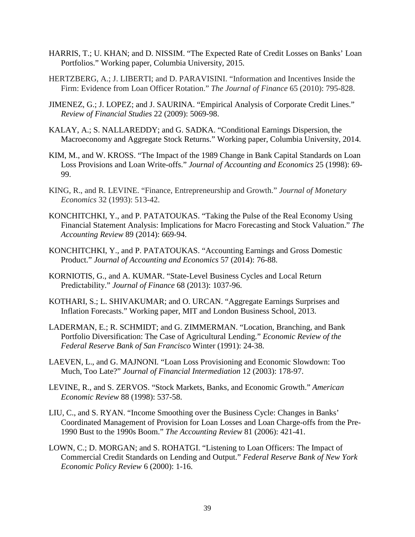- HARRIS, T.; U. KHAN; and D. NISSIM. "The Expected Rate of Credit Losses on Banks' Loan Portfolios." Working paper, Columbia University, 2015.
- HERTZBERG, A.; J. LIBERTI; and D. PARAVISINI. "Information and Incentives Inside the Firm: Evidence from Loan Officer Rotation." *The Journal of Finance* 65 (2010): 795-828.
- JIMENEZ, G.; J. LOPEZ; and J. SAURINA. "Empirical Analysis of Corporate Credit Lines." *Review of Financial Studies* 22 (2009): 5069-98.
- KALAY, A.; S. NALLAREDDY; and G. SADKA. "Conditional Earnings Dispersion, the Macroeconomy and Aggregate Stock Returns." Working paper, Columbia University, 2014.
- KIM, M., and W. KROSS. "The Impact of the 1989 Change in Bank Capital Standards on Loan Loss Provisions and Loan Write-offs." *Journal of Accounting and Economics* 25 (1998): 69- 99.
- KING, R., and R. LEVINE. "Finance, Entrepreneurship and Growth." *Journal of Monetary Economics* 32 (1993): 513-42.
- KONCHITCHKI, Y., and P. PATATOUKAS. "Taking the Pulse of the Real Economy Using Financial Statement Analysis: Implications for Macro Forecasting and Stock Valuation." *The Accounting Review* 89 (2014): 669-94.
- KONCHITCHKI, Y., and P. PATATOUKAS. "Accounting Earnings and Gross Domestic Product." *Journal of Accounting and Economics* 57 (2014): 76-88.
- KORNIOTIS, G., and A. KUMAR. "State-Level Business Cycles and Local Return Predictability." *Journal of Finance* 68 (2013): 1037-96.
- KOTHARI, S.; L. SHIVAKUMAR; and O. URCAN. "Aggregate Earnings Surprises and Inflation Forecasts." Working paper, MIT and London Business School, 2013.
- LADERMAN, E.; R. SCHMIDT; and G. ZIMMERMAN. "Location, Branching, and Bank Portfolio Diversification: The Case of Agricultural Lending." *Economic Review of the Federal Reserve Bank of San Francisco* Winter (1991): 24-38.
- LAEVEN, L., and G. MAJNONI. "Loan Loss Provisioning and Economic Slowdown: Too Much, Too Late?" *Journal of Financial Intermediation* 12 (2003): 178-97.
- LEVINE, R., and S. ZERVOS. "Stock Markets, Banks, and Economic Growth." *American Economic Review* 88 (1998): 537-58.
- LIU, C., and S. RYAN. "Income Smoothing over the Business Cycle: Changes in Banks' Coordinated Management of Provision for Loan Losses and Loan Charge-offs from the Pre-1990 Bust to the 1990s Boom." *The Accounting Review* 81 (2006): 421-41.
- LOWN, C.; D. MORGAN; and S. ROHATGI. "Listening to Loan Officers: The Impact of Commercial Credit Standards on Lending and Output." *Federal Reserve Bank of New York Economic Policy Review* 6 (2000): 1-16.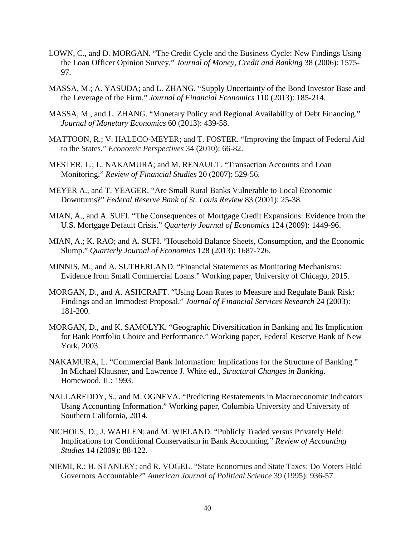- LOWN, C., and D. MORGAN. "The Credit Cycle and the Business Cycle: New Findings Using the Loan Officer Opinion Survey." *Journal of Money, Credit and Banking* 38 (2006): 1575- 97.
- MASSA, M.; A. YASUDA; and L. ZHANG. "Supply Uncertainty of the Bond Investor Base and the Leverage of the Firm." *Journal of Financial Economics* 110 (2013): 185-214.
- MASSA, M., and L. ZHANG. "Monetary Policy and Regional Availability of Debt Financing." *Journal of Monetary Economics* 60 (2013): 439-58.
- MATTOON, R.; V. HALECO-MEYER; and T. FOSTER. "Improving the Impact of Federal Aid to the States." *Economic Perspectives* 34 (2010): 66-82.
- MESTER, L.; L. NAKAMURA; and M. RENAULT. "Transaction Accounts and Loan Monitoring." *Review of Financial Studies* 20 (2007): 529-56.
- MEYER A., and T. YEAGER. "Are Small Rural Banks Vulnerable to Local Economic Downturns?" *Federal Reserve Bank of St. Louis Review* 83 (2001): 25-38.
- MIAN, A., and A. SUFI. "The Consequences of Mortgage Credit Expansions: Evidence from the U.S. Mortgage Default Crisis." *Quarterly Journal of Economics* 124 (2009): 1449-96.
- MIAN, A.; K. RAO; and A. SUFI. "Household Balance Sheets, Consumption, and the Economic Slump." *Quarterly Journal of Economics* 128 (2013): 1687-726.
- MINNIS, M., and A. SUTHERLAND. "Financial Statements as Monitoring Mechanisms: Evidence from Small Commercial Loans." Working paper, University of Chicago, 2015.
- MORGAN, D., and A. ASHCRAFT. "Using Loan Rates to Measure and Regulate Bank Risk: Findings and an Immodest Proposal." *Journal of Financial Services Research* 24 (2003): 181-200.
- MORGAN, D., and K. SAMOLYK. "Geographic Diversification in Banking and Its Implication for Bank Portfolio Choice and Performance." Working paper, Federal Reserve Bank of New York, 2003.
- NAKAMURA, L. "Commercial Bank Information: Implications for the Structure of Banking." In Michael Klausner, and Lawrence J. White ed., *Structural Changes in Banking.*  Homewood, IL: 1993.
- NALLAREDDY, S., and M. OGNEVA. "Predicting Restatements in Macroeconomic Indicators Using Accounting Information." Working paper, Columbia University and University of Southern California, 2014.
- NICHOLS, D.; J. WAHLEN; and M. WIELAND. "Publicly Traded versus Privately Held: Implications for Conditional Conservatism in Bank Accounting." *Review of Accounting Studies* 14 (2009): 88-122.
- NIEMI, R.; H. STANLEY; and R. VOGEL. "State Economies and State Taxes: Do Voters Hold Governors Accountable?" *American Journal of Political Science* 39 (1995): 936-57.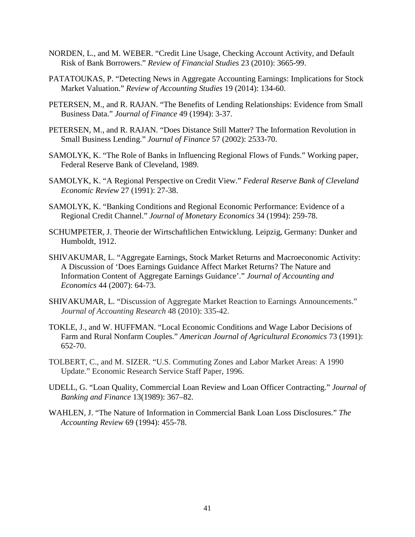- NORDEN, L., and M. WEBER. "Credit Line Usage, Checking Account Activity, and Default Risk of Bank Borrowers." *Review of Financial Studies* 23 (2010): 3665-99.
- PATATOUKAS, P. "Detecting News in Aggregate Accounting Earnings: Implications for Stock Market Valuation." *Review of Accounting Studies* 19 (2014): 134-60.
- PETERSEN, M., and R. RAJAN. "The Benefits of Lending Relationships: Evidence from Small Business Data." *Journal of Finance* 49 (1994): 3-37.
- PETERSEN, M., and R. RAJAN. "Does Distance Still Matter? The Information Revolution in Small Business Lending." *Journal of Finance* 57 (2002): 2533-70.
- SAMOLYK, K. "The Role of Banks in Influencing Regional Flows of Funds." Working paper, Federal Reserve Bank of Cleveland, 1989.
- SAMOLYK, K. "A Regional Perspective on Credit View." *Federal Reserve Bank of Cleveland Economic Review* 27 (1991): 27-38.
- SAMOLYK, K. "Banking Conditions and Regional Economic Performance: Evidence of a Regional Credit Channel." *Journal of Monetary Economics* 34 (1994): 259-78.
- SCHUMPETER, J. Theorie der Wirtschaftlichen Entwicklung. Leipzig, Germany: Dunker and Humboldt, 1912.
- SHIVAKUMAR, L. "Aggregate Earnings, Stock Market Returns and Macroeconomic Activity: A Discussion of 'Does Earnings Guidance Affect Market Returns? The Nature and Information Content of Aggregate Earnings Guidance'." *Journal of Accounting and Economics* 44 (2007): 64-73.
- SHIVAKUMAR, L. "Discussion of Aggregate Market Reaction to Earnings Announcements." *Journal of Accounting Research* 48 (2010): 335-42.
- TOKLE, J., and W. HUFFMAN. "Local Economic Conditions and Wage Labor Decisions of Farm and Rural Nonfarm Couples." *American Journal of Agricultural Economics* 73 (1991): 652-70.
- TOLBERT, C., and M. SIZER. "U.S. Commuting Zones and Labor Market Areas: A 1990 Update." Economic Research Service Staff Paper, 1996.
- UDELL, G. "Loan Quality, Commercial Loan Review and Loan Officer Contracting." *Journal of Banking and Finance* 13(1989): 367–82.
- WAHLEN, J. "The Nature of Information in Commercial Bank Loan Loss Disclosures." *The Accounting Review* 69 (1994): 455-78.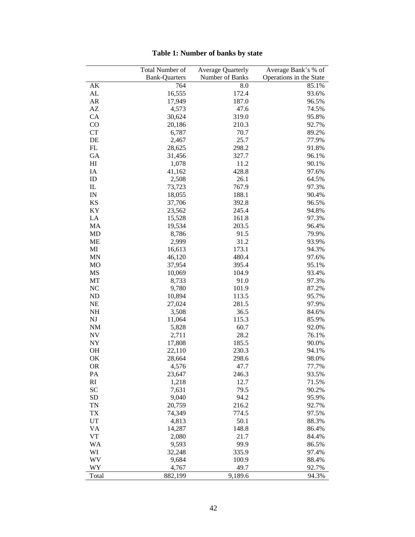|                        | Total Number of      | <b>Average Quarterly</b> | Average Bank's % of     |
|------------------------|----------------------|--------------------------|-------------------------|
|                        | <b>Bank-Quarters</b> | Number of Banks          | Operations in the State |
| AK                     | 764                  | 8.0                      | 85.1%                   |
| AL                     | 16,555               | 172.4                    | 93.6%                   |
| AR                     | 17,949               | 187.0                    | 96.5%                   |
| $\mathbf{A}\mathbf{Z}$ | 4,573                | 47.6                     | 74.5%                   |
| CA                     | 30,624               | 319.0                    | 95.8%                   |
| CO                     | 20,186               | 210.3                    | 92.7%                   |
| <b>CT</b>              | 6,787                | 70.7                     | 89.2%                   |
| DE                     | 2,467                | 25.7                     | 77.9%                   |
| FL                     | 28,625               | 298.2                    | 91.8%                   |
| GA                     | 31,456               | 327.7                    | 96.1%                   |
| H <sub>I</sub>         | 1,078                | 11.2                     | 90.1%                   |
| IA                     | 41,162               | 428.8                    | 97.6%                   |
| ID                     | 2,508                | 26.1                     | 64.5%                   |
| $\mathbf{I}$           | 73,723               | 767.9                    | 97.3%                   |
| IN                     | 18,055               | 188.1                    | 90.4%                   |
| KS                     | 37,706               | 392.8                    | 96.5%                   |
| KY                     | 23,562               | 245.4                    | 94.8%                   |
| LA                     | 15,528               | 161.8                    | 97.3%                   |
| MA                     | 19,534               | 203.5                    | 96.4%                   |
| MD                     | 8,786                | 91.5                     | 79.9%                   |
| ME                     | 2,999                | 31.2                     | 93.9%                   |
| MI                     | 16,613               | 173.1                    | 94.3%                   |
| <b>MN</b>              | 46,120               | 480.4                    | 97.6%                   |
| <b>MO</b>              | 37,954               | 395.4                    | 95.1%                   |
| MS                     | 10,069               | 104.9                    | 93.4%                   |
| MT                     | 8,733                | 91.0                     | 97.3%                   |
| NC                     | 9,780                | 101.9                    | 87.2%                   |
| <b>ND</b>              | 10,894               | 113.5                    | 95.7%                   |
| <b>NE</b>              | 27,024               | 281.5                    | 97.9%                   |
| NH                     | 3,508                | 36.5                     | 84.6%                   |
| NJ                     | 11,064               | 115.3                    | 85.9%                   |
| <b>NM</b>              | 5,828                | 60.7                     | 92.0%                   |
| <b>NV</b>              | 2,711                | 28.2                     | 76.1%                   |
| <b>NY</b>              | 17,808               | 185.5                    | 90.0%                   |
| OH                     | 22,110               | 230.3                    | 94.1%                   |
| OK                     | 28,664               | 298.6                    | 98.0%                   |
| OR                     | 4,576                | 47.7                     | 77.7%                   |
| PA                     | 23,647               | 246.3                    | 93.5%                   |
| RI                     | 1,218                | 12.7                     | 71.5%                   |
| SC                     | 7,631                | 79.5                     | 90.2%                   |
| SD                     | 9,040                | 94.2                     | 95.9%                   |
| <b>TN</b>              | 20,759               | 216.2                    | 92.7%                   |
| <b>TX</b>              | 74,349               | 774.5                    | 97.5%                   |
| UT                     | 4,813                | 50.1                     | 88.3%                   |
| VA                     | 14,287               | 148.8                    | 86.4%                   |
| <b>VT</b>              | 2,080                | 21.7                     | 84.4%                   |
| WA                     | 9,593                | 99.9                     | 86.5%                   |
| WI                     | 32,248               | 335.9                    | 97.4%                   |
| WV                     | 9,684                | 100.9                    | 88.4%                   |
| WY                     | 4,767                | 49.7                     | 92.7%                   |
| Total                  | 882,199              | 9,189.6                  | 94.3%                   |

# **Table 1: Number of banks by state**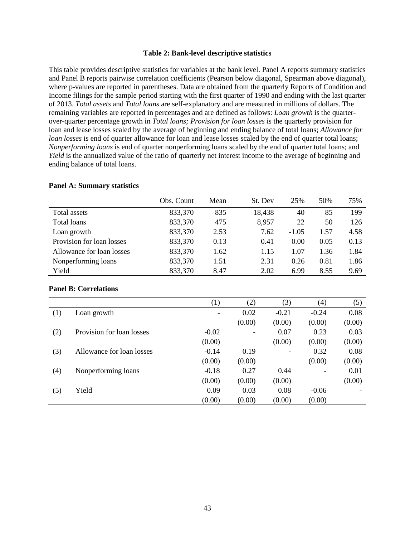### **Table 2: Bank-level descriptive statistics**

This table provides descriptive statistics for variables at the bank level. Panel A reports summary statistics and Panel B reports pairwise correlation coefficients (Pearson below diagonal, Spearman above diagonal), where p-values are reported in parentheses. Data are obtained from the quarterly Reports of Condition and Income filings for the sample period starting with the first quarter of 1990 and ending with the last quarter of 2013. *Total assets* and *Total loans* are self-explanatory and are measured in millions of dollars. The remaining variables are reported in percentages and are defined as follows: *Loan growth* is the quarterover-quarter percentage growth in *Total loans; Provision for loan losses* is the quarterly provision for loan and lease losses scaled by the average of beginning and ending balance of total loans; *Allowance for loan losses* is end of quarter allowance for loan and lease losses scaled by the end of quarter total loans; *Nonperforming loans* is end of quarter nonperforming loans scaled by the end of quarter total loans; and *Yield* is the annualized value of the ratio of quarterly net interest income to the average of beginning and ending balance of total loans.

|                           | Obs. Count | Mean | St. Dev | 25%     | 50%  | 75%  |
|---------------------------|------------|------|---------|---------|------|------|
| Total assets              | 833,370    | 835  | 18,438  | 40      | 85   | 199  |
| Total loans               | 833,370    | 475  | 8,957   | 22      | 50   | 126  |
| Loan growth               | 833,370    | 2.53 | 7.62    | $-1.05$ | 1.57 | 4.58 |
| Provision for loan losses | 833,370    | 0.13 | 0.41    | 0.00    | 0.05 | 0.13 |
| Allowance for loan losses | 833,370    | 1.62 | 1.15    | 1.07    | 1.36 | 1.84 |
| Nonperforming loans       | 833,370    | 1.51 | 2.31    | 0.26    | 0.81 | 1.86 |
| Yield                     | 833,370    | 8.47 | 2.02    | 6.99    | 8.55 | 9.69 |

#### **Panel A: Summary statistics**

### **Panel B: Correlations**

|     |                           | (1)     | (2)                      | (3)             | (4)     | (5)    |
|-----|---------------------------|---------|--------------------------|-----------------|---------|--------|
| (1) | Loan growth               | Ξ.      | 0.02                     | $-0.21$         | $-0.24$ | 0.08   |
|     |                           |         | (0.00)                   | (0.00)          | (0.00)  | (0.00) |
| (2) | Provision for loan losses | $-0.02$ | $\overline{\phantom{a}}$ | 0.07            | 0.23    | 0.03   |
|     |                           | (0.00)  |                          | (0.00)          | (0.00)  | (0.00) |
| (3) | Allowance for loan losses | $-0.14$ | 0.19                     | $\qquad \qquad$ | 0.32    | 0.08   |
|     |                           | (0.00)  | (0.00)                   |                 | (0.00)  | (0.00) |
| (4) | Nonperforming loans       | $-0.18$ | 0.27                     | 0.44            |         | 0.01   |
|     |                           | (0.00)  | (0.00)                   | (0.00)          |         | (0.00) |
| (5) | Yield                     | 0.09    | 0.03                     | 0.08            | $-0.06$ |        |
|     |                           | (0.00)  | (0.00)                   | (0.00)          | (0.00)  |        |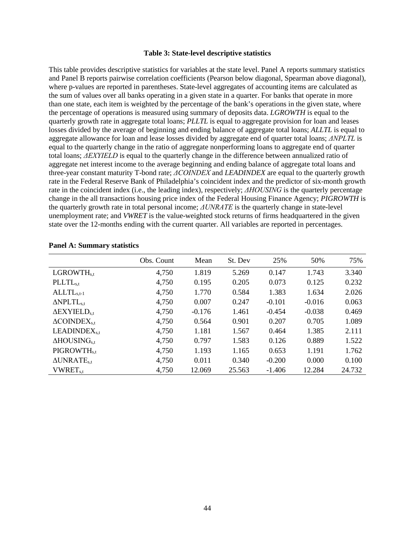#### **Table 3: State-level descriptive statistics**

<span id="page-45-0"></span>This table provides descriptive statistics for variables at the state level. Panel A reports summary statistics and Panel B reports pairwise correlation coefficients (Pearson below diagonal, Spearman above diagonal), where p-values are reported in parentheses. State-level aggregates of accounting items are calculated as the sum of values over all banks operating in a given state in a quarter. For banks that operate in more than one state, each item is weighted by the percentage of the bank's operations in the given state, where the percentage of operations is measured using summary of deposits data. *LGROWTH* is equal to the quarterly growth rate in aggregate total loans; *PLLTL* is equal to aggregate provision for loan and leases losses divided by the average of beginning and ending balance of aggregate total loans; *ALLTL* is equal to aggregate allowance for loan and lease losses divided by aggregate end of quarter total loans; *ΔNPLTL* is equal to the quarterly change in the ratio of aggregate nonperforming loans to aggregate end of quarter total loans; *ΔEXYIELD* is equal to the quarterly change in the difference between annualized ratio of aggregate net interest income to the average beginning and ending balance of aggregate total loans and three-year constant maturity T-bond rate; *ΔCOINDEX* and *LEADINDEX* are equal to the quarterly growth rate in the Federal Reserve Bank of Philadelphia's coincident index and the predictor of six-month growth rate in the coincident index (i.e., the leading index), respectively; *ΔHOUSING* is the quarterly percentage change in the all transactions housing price index of the Federal Housing Finance Agency; *PIGROWTH* is the quarterly growth rate in total personal income; *ΔUNRATE* is the quarterly change in state-level unemployment rate; and *VWRET* is the value-weighted stock returns of firms headquartered in the given state over the 12-months ending with the current quarter. All variables are reported in percentages.

|                                 | Obs. Count | Mean     | St. Dev | 25%      | 50%      | 75%    |
|---------------------------------|------------|----------|---------|----------|----------|--------|
| LGROWTH <sub>s.t</sub>          | 4,750      | 1.819    | 5.269   | 0.147    | 1.743    | 3.340  |
| $\n  PLL$ <sub>s,t</sub>        | 4,750      | 0.195    | 0.205   | 0.073    | 0.125    | 0.232  |
| $ALLTLs,t-1$                    | 4,750      | 1.770    | 0.584   | 1.383    | 1.634    | 2.026  |
| $\triangle NPLTL_{s,t}$         | 4,750      | 0.007    | 0.247   | $-0.101$ | $-0.016$ | 0.063  |
| $\Delta$ EXYIELD <sub>s.t</sub> | 4,750      | $-0.176$ | 1.461   | $-0.454$ | $-0.038$ | 0.469  |
| $\triangle$ COINDE $X_{s,t}$    | 4,750      | 0.564    | 0.901   | 0.207    | 0.705    | 1.089  |
| $LEADINGX_{s,t}$                | 4,750      | 1.181    | 1.567   | 0.464    | 1.385    | 2.111  |
| $\Delta$ HOUSING <sub>s.t</sub> | 4,750      | 0.797    | 1.583   | 0.126    | 0.889    | 1.522  |
| PIGROWTH <sub>s.t</sub>         | 4,750      | 1.193    | 1.165   | 0.653    | 1.191    | 1.762  |
| $\triangle UNRATE_{s.t}$        | 4,750      | 0.011    | 0.340   | $-0.200$ | 0.000    | 0.100  |
| <b>VWRET</b> <sub>s.t</sub>     | 4,750      | 12.069   | 25.563  | $-1.406$ | 12.284   | 24.732 |

# **Panel A: Summary statistics**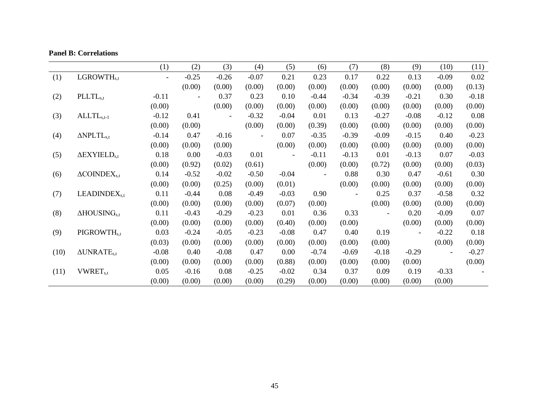|      |                                 | (1)     | (2)                      | (3)     | (4)     | (5)     | (6)            | (7)     | (8)     | (9)     | (10)           | (11)    |
|------|---------------------------------|---------|--------------------------|---------|---------|---------|----------------|---------|---------|---------|----------------|---------|
| (1)  | LGROWTH <sub>s,t</sub>          |         | $-0.25$                  | $-0.26$ | $-0.07$ | 0.21    | 0.23           | 0.17    | 0.22    | 0.13    | $-0.09$        | 0.02    |
|      |                                 |         | (0.00)                   | (0.00)  | (0.00)  | (0.00)  | (0.00)         | (0.00)  | (0.00)  | (0.00)  | (0.00)         | (0.13)  |
| (2)  | $\n  PLLTLs,t\n$                | $-0.11$ | $\overline{\phantom{a}}$ | 0.37    | 0.23    | 0.10    | $-0.44$        | $-0.34$ | $-0.39$ | $-0.21$ | 0.30           | $-0.18$ |
|      |                                 | (0.00)  |                          | (0.00)  | (0.00)  | (0.00)  | (0.00)         | (0.00)  | (0.00)  | (0.00)  | (0.00)         | (0.00)  |
| (3)  | $ALLTLs,t-1$                    | $-0.12$ | 0.41                     |         | $-0.32$ | $-0.04$ | 0.01           | 0.13    | $-0.27$ | $-0.08$ | $-0.12$        | 0.08    |
|      |                                 | (0.00)  | (0.00)                   |         | (0.00)  | (0.00)  | (0.39)         | (0.00)  | (0.00)  | (0.00)  | (0.00)         | (0.00)  |
| (4)  | $\triangle NPLTL_{s,t}$         | $-0.14$ | 0.47                     | $-0.16$ |         | 0.07    | $-0.35$        | $-0.39$ | $-0.09$ | $-0.15$ | 0.40           | $-0.23$ |
|      |                                 | (0.00)  | (0.00)                   | (0.00)  |         | (0.00)  | (0.00)         | (0.00)  | (0.00)  | (0.00)  | (0.00)         | (0.00)  |
| (5)  | $\Delta$ EXYIELD <sub>s,t</sub> | 0.18    | 0.00                     | $-0.03$ | 0.01    |         | $-0.11$        | $-0.13$ | 0.01    | $-0.13$ | 0.07           | $-0.03$ |
|      |                                 | (0.00)  | (0.92)                   | (0.02)  | (0.61)  |         | (0.00)         | (0.00)  | (0.72)  | (0.00)  | (0.00)         | (0.03)  |
| (6)  | $\triangle$ COINDE $X_{s,t}$    | 0.14    | $-0.52$                  | $-0.02$ | $-0.50$ | $-0.04$ | $\blacksquare$ | 0.88    | 0.30    | 0.47    | $-0.61$        | 0.30    |
|      |                                 | (0.00)  | (0.00)                   | (0.25)  | (0.00)  | (0.01)  |                | (0.00)  | (0.00)  | (0.00)  | (0.00)         | (0.00)  |
| (7)  | LEADINDEX <sub>s,t</sub>        | 0.11    | $-0.44$                  | 0.08    | $-0.49$ | $-0.03$ | 0.90           |         | 0.25    | 0.37    | $-0.58$        | 0.32    |
|      |                                 | (0.00)  | (0.00)                   | (0.00)  | (0.00)  | (0.07)  | (0.00)         |         | (0.00)  | (0.00)  | (0.00)         | (0.00)  |
| (8)  | $\Delta$ HOUSING <sub>s,t</sub> | 0.11    | $-0.43$                  | $-0.29$ | $-0.23$ | 0.01    | 0.36           | 0.33    |         | 0.20    | $-0.09$        | 0.07    |
|      |                                 | (0.00)  | (0.00)                   | (0.00)  | (0.00)  | (0.40)  | (0.00)         | (0.00)  |         | (0.00)  | (0.00)         | (0.00)  |
| (9)  | PIGROWTH <sub>s,t</sub>         | 0.03    | $-0.24$                  | $-0.05$ | $-0.23$ | $-0.08$ | 0.47           | 0.40    | 0.19    |         | $-0.22$        | 0.18    |
|      |                                 | (0.03)  | (0.00)                   | (0.00)  | (0.00)  | (0.00)  | (0.00)         | (0.00)  | (0.00)  |         | (0.00)         | (0.00)  |
| (10) | $\Delta UNRATE_{s,t}$           | $-0.08$ | 0.40                     | $-0.08$ | 0.47    | 0.00    | $-0.74$        | $-0.69$ | $-0.18$ | $-0.29$ | $\blacksquare$ | $-0.27$ |
|      |                                 | (0.00)  | (0.00)                   | (0.00)  | (0.00)  | (0.88)  | (0.00)         | (0.00)  | (0.00)  | (0.00)  |                | (0.00)  |
| (11) | <b>VWRET</b> <sub>s,t</sub>     | 0.05    | $-0.16$                  | 0.08    | $-0.25$ | $-0.02$ | 0.34           | 0.37    | 0.09    | 0.19    | $-0.33$        |         |
|      |                                 | (0.00)  | (0.00)                   | (0.00)  | (0.00)  | (0.29)  | (0.00)         | (0.00)  | (0.00)  | (0.00)  | (0.00)         |         |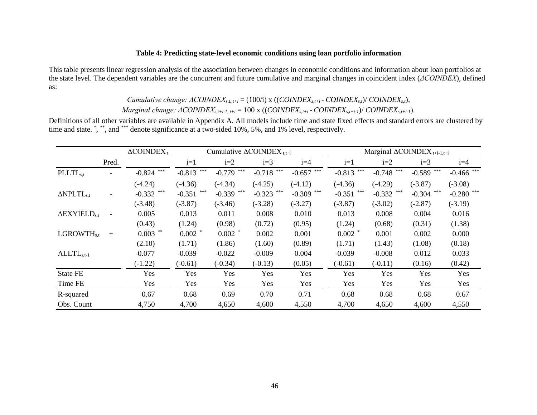# **Table 4: Predicting state-level economic conditions using loan portfolio information**

This table presents linear regression analysis of the association between changes in economic conditions and information about loan portfolios at the state level. The dependent variables are the concurrent and future cumulative and marginal changes in coincident index (*ΔCOINDEX*), defined as:

*Cumulative change: ΔCOINDEXs,t,,t+i* = (100/i) x ((*COINDEXs,t+i* - *COINDEXs,t*)/ *COINDEXs,t*),

*Marginal change: ΔCOINDEXs,t+i-1, t+i* = 100 x ((*COINDEXs,t+i* - *COINDEXs,t+i-1*)/ *COINDEXs,t+i-1*).

Definitions of all other variables are available in Appendix A. All models include time and state fixed effects and standard errors are clustered by time and state. \*, \*\*, and \*\*\* denote significance at a two-sided 10%, 5%, and 1% level, respectively.

<span id="page-47-0"></span>

|                                 |                | $\triangle$ COINDEX <sub>t</sub> |              | Cumulative $\triangle$ COINDEX <sub>t,t+i</sub> |              |              | Marginal $\triangle$ COINDEX <sub>t+i-1,t+i</sub> |              |              |              |
|---------------------------------|----------------|----------------------------------|--------------|-------------------------------------------------|--------------|--------------|---------------------------------------------------|--------------|--------------|--------------|
|                                 | Pred.          |                                  | $i=1$        | $i=2$                                           | $i=3$        | $i=4$        | $i=1$                                             | $i=2$        | $i=3$        | $i=4$        |
| PLLTL <sub>s,t</sub>            |                | $-0.824$ ***                     | $-0.813$ *** | $-0.779$ ***                                    | $-0.718$ *** | $-0.657$ *** | $-0.813$ ***                                      | $-0.748$ *** | $-0.589$ *** | $-0.466$ *** |
|                                 |                | $(-4.24)$                        | $(-4.36)$    | $(-4.34)$                                       | $(-4.25)$    | $(-4.12)$    | $(-4.36)$                                         | $(-4.29)$    | $(-3.87)$    | $(-3.08)$    |
| $\triangle NPLTL_{s,t}$         |                | $-0.332$ ***                     | $-0.351$ *** | $-0.339$ ***                                    | $-0.323$     | $-0.309$ *** | $-0.351$ ***                                      | $-0.332$ *** | $-0.304$ *** | $-0.280$ *** |
|                                 |                | $(-3.48)$                        | $(-3.87)$    | $(-3.46)$                                       | $(-3.28)$    | $(-3.27)$    | $(-3.87)$                                         | $(-3.02)$    | $(-2.87)$    | $(-3.19)$    |
| $\Delta$ EXYIELD <sub>s.t</sub> | $\overline{a}$ | 0.005                            | 0.013        | 0.011                                           | 0.008        | 0.010        | 0.013                                             | 0.008        | 0.004        | 0.016        |
|                                 |                | (0.43)                           | (1.24)       | (0.98)                                          | (0.72)       | (0.95)       | (1.24)                                            | (0.68)       | (0.31)       | (1.38)       |
| LGROWTH <sub>s.t</sub>          | $+$            | $0.003$ **                       | $0.002$ *    | $0.002$ *                                       | 0.002        | 0.001        | $0.002$ *                                         | 0.001        | 0.002        | 0.000        |
|                                 |                | (2.10)                           | (1.71)       | (1.86)                                          | (1.60)       | (0.89)       | (1.71)                                            | (1.43)       | (1.08)       | (0.18)       |
| $ALLTLs.t-1$                    |                | $-0.077$                         | $-0.039$     | $-0.022$                                        | $-0.009$     | 0.004        | $-0.039$                                          | $-0.008$     | 0.012        | 0.033        |
|                                 |                | $(-1.22)$                        | $(-0.61)$    | $(-0.34)$                                       | $(-0.13)$    | (0.05)       | $(-0.61)$                                         | $(-0.11)$    | (0.16)       | (0.42)       |
| <b>State FE</b>                 |                | Yes                              | Yes          | Yes                                             | Yes          | Yes          | Yes                                               | Yes          | Yes          | Yes          |
| Time FE                         |                | Yes                              | Yes          | Yes                                             | Yes          | Yes          | Yes                                               | Yes          | Yes          | Yes          |
| R-squared                       |                | 0.67                             | 0.68         | 0.69                                            | 0.70         | 0.71         | 0.68                                              | 0.68         | 0.68         | 0.67         |
| Obs. Count                      |                | 4,750                            | 4,700        | 4,650                                           | 4,600        | 4,550        | 4,700                                             | 4,650        | 4,600        | 4,550        |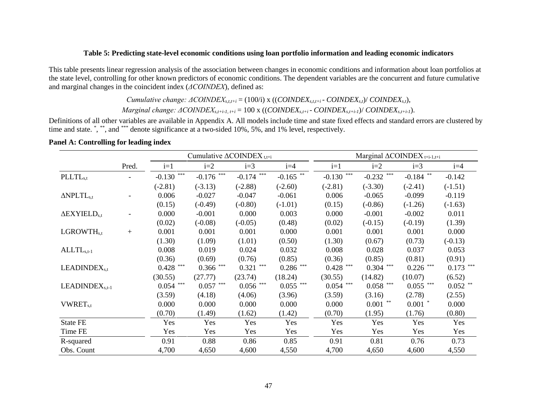### **Table 5: Predicting state-level economic conditions using loan portfolio information and leading economic indicators**

This table presents linear regression analysis of the association between changes in economic conditions and information about loan portfolios at the state level, controlling for other known predictors of economic conditions. The dependent variables are the concurrent and future cumulative and marginal changes in the coincident index (*ΔCOINDEX*), defined as:

*Cumulative change: ΔCOINDEXs,t,t+i* = (100/i) x ((*COINDEXs,t,t+i* - *COINDEXs,t*)/ *COINDEXs,t*),

*Marginal change: ΔCOINDEXs,t+i-1, t+i* = 100 x ((*COINDEXs,t+i* - *COINDEXs,t+i-1*)/ *COINDEXs,t+i-1*).

Definitions of all other variables are available in Appendix A. All models include time and state fixed effects and standard errors are clustered by time and state. \*, \*\*, and \*\*\* denote significance at a two-sided 10%, 5%, and 1% level, respectively.

# **Panel A: Controlling for leading index**

<span id="page-48-0"></span>

|                                 |       |              | Cumulative $\triangle$ COINDEX <sub>tt+i</sub> |                                         |             |              |                                     | Marginal $\triangle$ COINDEX <sub>t+i-1,t+i</sub> |                                     |
|---------------------------------|-------|--------------|------------------------------------------------|-----------------------------------------|-------------|--------------|-------------------------------------|---------------------------------------------------|-------------------------------------|
|                                 | Pred. | $i=1$        | $i=2$                                          | $i=3$                                   | $i=4$       | $i=1$        | $i=2$                               | $i=3$                                             | $i=4$                               |
| PLLTL <sub>s,t</sub>            |       | $-0.130$ *** | ***<br>$-0.176$                                | $-0.174$ ***                            | $-0.165$ ** | $-0.130$ *** | ***<br>$-0.232$                     | $-0.184$ **                                       | $-0.142$                            |
|                                 |       | $(-2.81)$    | $(-3.13)$                                      | $(-2.88)$                               | $(-2.60)$   | $(-2.81)$    | $(-3.30)$                           | $(-2.41)$                                         | $(-1.51)$                           |
| $\Delta$ NPLTL <sub>s,t</sub>   |       | 0.006        | $-0.027$                                       | $-0.047$                                | $-0.061$    | 0.006        | $-0.065$                            | $-0.099$                                          | $-0.119$                            |
|                                 |       | (0.15)       | $(-0.49)$                                      | $(-0.80)$                               | $(-1.01)$   | (0.15)       | $(-0.86)$                           | $(-1.26)$                                         | $(-1.63)$                           |
| $\Delta$ EXYIELD <sub>s.t</sub> |       | 0.000        | $-0.001$                                       | 0.000                                   | 0.003       | 0.000        | $-0.001$                            | $-0.002$                                          | 0.011                               |
|                                 |       | (0.02)       | $(-0.08)$                                      | $(-0.05)$                               | (0.48)      | (0.02)       | $(-0.15)$                           | $(-0.19)$                                         | (1.39)                              |
| LGROWTH <sub>s,t</sub>          | $+$   | 0.001        | 0.001                                          | 0.001                                   | 0.000       | 0.001        | 0.001                               | 0.001                                             | 0.000                               |
|                                 |       | (1.30)       | (1.09)                                         | (1.01)                                  | (0.50)      | (1.30)       | (0.67)                              | (0.73)                                            | $(-0.13)$                           |
| $ALLTLs,t-1$                    |       | 0.008        | 0.019                                          | 0.024                                   | 0.032       | 0.008        | 0.028                               | 0.037                                             | 0.053                               |
|                                 |       | (0.36)       | (0.69)                                         | (0.76)                                  | (0.85)      | (0.36)       | (0.85)                              | (0.81)                                            | (0.91)                              |
| LEADINDEX <sub>s.t</sub>        |       | $0.428$ ***  | $0.366$ ***                                    | $0.321$ ***                             | $0.286$ *** | $0.428$ ***  | ***<br>0.304                        | $0.226$ ***                                       | $0.173$ ***                         |
|                                 |       | (30.55)      | (27.77)                                        | (23.74)                                 | (18.24)     | (30.55)      | (14.82)                             | (10.07)                                           | (6.52)                              |
| LEADINDEX <sub>s,t-1</sub>      |       | $0.054$ ***  | ***<br>0.057                                   | $0.056$ $\hspace{0.1cm}^{\ast\ast\ast}$ | $0.055$ *** | $0.054$ ***  | ***<br>0.058                        | $0.055$ ***                                       | $0.052$ $\hspace{0.1cm}^{\ast\ast}$ |
|                                 |       | (3.59)       | (4.18)                                         | (4.06)                                  | (3.96)      | (3.59)       | (3.16)                              | (2.78)                                            | (2.55)                              |
| <b>VWRET</b> <sub>s.t</sub>     |       | 0.000        | 0.000                                          | 0.000                                   | 0.000       | 0.000        | $0.001$ $\hspace{0.1cm}^{\ast\ast}$ | $0.001$ *                                         | 0.000                               |
|                                 |       | (0.70)       | (1.49)                                         | (1.62)                                  | (1.42)      | (0.70)       | (1.95)                              | (1.76)                                            | (0.80)                              |
| <b>State FE</b>                 |       | Yes          | Yes                                            | Yes                                     | Yes         | Yes          | Yes                                 | Yes                                               | Yes                                 |
| Time FE                         |       | Yes          | Yes                                            | Yes                                     | Yes         | Yes          | Yes                                 | Yes                                               | Yes                                 |
| R-squared                       |       | 0.91         | 0.88                                           | 0.86                                    | 0.85        | 0.91         | 0.81                                | 0.76                                              | 0.73                                |
| Obs. Count                      |       | 4,700        | 4,650                                          | 4,600                                   | 4,550       | 4,700        | 4,650                               | 4,600                                             | 4,550                               |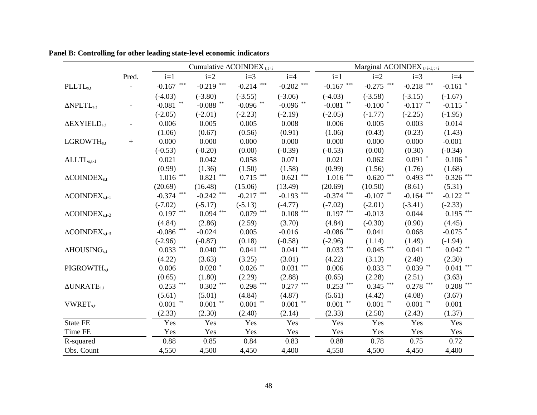|                                    |       |                                         |                                         | Cumulative $\triangle$ COINDEX <sub>t,t+i</sub> |                                         | Marginal $\triangle$ COINDEX <sub>t+i-1,t+i</sub> |                                         |                                         |                                         |  |
|------------------------------------|-------|-----------------------------------------|-----------------------------------------|-------------------------------------------------|-----------------------------------------|---------------------------------------------------|-----------------------------------------|-----------------------------------------|-----------------------------------------|--|
|                                    | Pred. | $i=1$                                   | $i=2$                                   | $i=3$                                           | $i=4$                                   | $i=1$                                             | $i=2$                                   | $i=3$                                   | $i=4$                                   |  |
| PLLTL <sub>s,t</sub>               |       | $-0.167$ ***                            | $-0.219$ ***                            | $-0.214$ ***                                    | $-0.202$ <sup>***</sup>                 | $-0.167$ ***                                      | $-0.275$                                | $-0.218$ ***                            | $-0.161$ *                              |  |
|                                    |       | $(-4.03)$                               | $(-3.80)$                               | $(-3.55)$                                       | $(-3.06)$                               | $(-4.03)$                                         | $(-3.58)$                               | $(-3.15)$                               | $(-1.67)$                               |  |
| $\triangle{}$ NPLTL <sub>s.t</sub> |       | -0.081 $^{\ast\ast}$                    | -0.088 $^{\ast\ast}$                    | $-0.096$ **                                     | -0.096 $^{\ast\ast}$                    | -0.081 $^{\ast\ast}$                              | $-0.100$ *                              | $-0.117$ **                             | $-0.115$ *                              |  |
|                                    |       | $(-2.05)$                               | $(-2.01)$                               | $(-2.23)$                                       | $(-2.19)$                               | $(-2.05)$                                         | $(-1.77)$                               | $(-2.25)$                               | $(-1.95)$                               |  |
| $\Delta$ EXYIELD <sub>s,t</sub>    |       | 0.006                                   | 0.005                                   | 0.005                                           | 0.008                                   | 0.006                                             | 0.005                                   | 0.003                                   | 0.014                                   |  |
|                                    |       | (1.06)                                  | (0.67)                                  | (0.56)                                          | (0.91)                                  | (1.06)                                            | (0.43)                                  | (0.23)                                  | (1.43)                                  |  |
| LGROWTH <sub>s,t</sub>             | $+$   | 0.000                                   | 0.000                                   | 0.000                                           | 0.000                                   | 0.000                                             | 0.000                                   | 0.000                                   | $-0.001$                                |  |
|                                    |       | $(-0.53)$                               | $(-0.20)$                               | (0.00)                                          | $(-0.39)$                               | $(-0.53)$                                         | (0.00)                                  | (0.30)                                  | $(-0.34)$                               |  |
| $ALLTLs,t-1$                       |       | 0.021                                   | 0.042                                   | 0.058                                           | 0.071                                   | 0.021                                             | 0.062                                   | $0.091$ *                               | $0.106$ *                               |  |
|                                    |       | (0.99)                                  | (1.36)                                  | (1.50)                                          | (1.58)                                  | (0.99)                                            | (1.56)                                  | (1.76)                                  | (1.68)                                  |  |
| $\triangle$ COINDE $X_{s,t}$       |       | $1.016$ $\hspace{0.1cm}^{\ast\ast\ast}$ | $0.821\;$ ***                           | $0.715$ ***                                     | $0.621$ $\hspace{-1.5mm}^{***}$         | $1.016$ $\hspace{0.1cm}^{\ast\ast\ast}$           | $0.620$ $\hspace{0.1cm}^{\ast\ast\ast}$ | $0.493$ ***                             | $0.326$ $\hspace{0.1cm}^{\ast\ast\ast}$ |  |
|                                    |       | (20.69)                                 | (16.48)                                 | (15.06)                                         | (13.49)                                 | (20.69)                                           | (10.50)                                 | (8.61)                                  | (5.31)                                  |  |
| $\triangle$ COINDE $X_{s,t-1}$     |       | $-0.374$ ***                            | $-0.242$ ***                            | $-0.217$ ***                                    | $-0.193$ ***                            | $-0.374$ ***                                      | $-0.107$ **                             | $-0.164$ ***                            | $-0.122$ **                             |  |
|                                    |       | $(-7.02)$                               | $(-5.17)$                               | $(-5.13)$                                       | $(-4.77)$                               | $(-7.02)$                                         | $(-2.01)$                               | $(-3.41)$                               | $(-2.33)$                               |  |
| $\triangle COINDEXs,t-2$           |       | $0.197$ ***                             | $0.094$ ***                             | $0.079$ ***                                     | $0.108$ $\hspace{0.1cm}^{\ast\ast\ast}$ | $0.197$ ***                                       | $-0.013$                                | 0.044                                   | $0.195$ ***                             |  |
|                                    |       | (4.84)                                  | (2.86)                                  | (2.59)                                          | (3.70)                                  | (4.84)                                            | $(-0.30)$                               | (0.90)                                  | (4.45)                                  |  |
| $\triangle COINDEXs,t-3$           |       | -0.086 $\hspace{0.1cm}^{\ast\ast\ast}$  | $-0.024$                                | 0.005                                           | $-0.016$                                | -0.086 $\hspace{0.1cm}^{\ast\ast\ast}$            | 0.041                                   | 0.068                                   | $-0.075$ *                              |  |
|                                    |       | $(-2.96)$                               | $(-0.87)$                               | (0.18)                                          | $(-0.58)$                               | $(-2.96)$                                         | (1.14)                                  | (1.49)                                  | $(-1.94)$                               |  |
| $\Delta HOUSINGs,t$                |       | $0.033$ ***                             | $0.040$ $\hspace{0.1cm}^{\ast\ast\ast}$ | $0.041$ $\hspace{0.1cm}^{\ast\ast\ast}$         | $0.041$ $\hspace{0.1cm}^{\ast\ast\ast}$ | $0.033$ ***                                       | $0.045$ ***                             | $0.041$ $\hspace{0.1cm}^{\ast\ast}$     | $0.042$ $^{\ast\ast}$                   |  |
|                                    |       | (4.22)                                  | (3.63)                                  | (3.25)                                          | (3.01)                                  | (4.22)                                            | (3.13)                                  | (2.48)                                  | (2.30)                                  |  |
| PIGROWTH <sub>s.t</sub>            |       | 0.006                                   | $0.020$ *                               | $0.026$ **                                      | $0.031$ ***                             | 0.006                                             | $0.033$ **                              | $0.039$ **                              | $0.041\,$ ***                           |  |
|                                    |       | (0.65)                                  | (1.80)                                  | (2.29)                                          | (2.88)                                  | (0.65)                                            | (2.28)                                  | (2.51)                                  | (3.63)                                  |  |
| $\triangle UNRATE_{s.t}$           |       | $0.253$ ***                             | $0.302$ ***                             | $0.298$ ***                                     | $0.277$ ***                             | $0.253$ ***                                       | $0.345$ ***                             | $0.278$ $\hspace{0.1cm}^{\ast\ast\ast}$ | $0.208$ $\hspace{0.1cm}^{\ast\ast\ast}$ |  |
|                                    |       | (5.61)                                  | (5.01)                                  | (4.84)                                          | (4.87)                                  | (5.61)                                            | (4.42)                                  | (4.08)                                  | (3.67)                                  |  |
| <b>VWRET</b> <sub>s,t</sub>        |       | $0.001$ $^{\ast\ast}$                   | $0.001$ $^{\ast\ast}$                   | $0.001$ $^{\ast\ast}$                           | $0.001$ $^{\ast\ast}$                   | $0.001$ $^{\ast\ast}$                             | $0.001$ $\hspace{0.1cm}^{\ast\ast}$     | $0.001$ $^{\ast\ast}$                   | 0.001                                   |  |
|                                    |       | (2.33)                                  | (2.30)                                  | (2.40)                                          | (2.14)                                  | (2.33)                                            | (2.50)                                  | (2.43)                                  | (1.37)                                  |  |
| <b>State FE</b>                    |       | Yes                                     | Yes                                     | Yes                                             | Yes                                     | Yes                                               | Yes                                     | Yes                                     | Yes                                     |  |
| Time FE                            |       | Yes                                     | Yes                                     | Yes                                             | Yes                                     | Yes                                               | Yes                                     | Yes                                     | Yes                                     |  |
| R-squared                          |       | 0.88                                    | 0.85                                    | 0.84                                            | 0.83                                    | 0.88                                              | 0.78                                    | 0.75                                    | 0.72                                    |  |
| Obs. Count                         |       | 4,550                                   | 4,500                                   | 4,450                                           | 4,400                                   | 4,550                                             | 4,500                                   | 4,450                                   | 4,400                                   |  |

**Panel B: Controlling for other leading state-level economic indicators**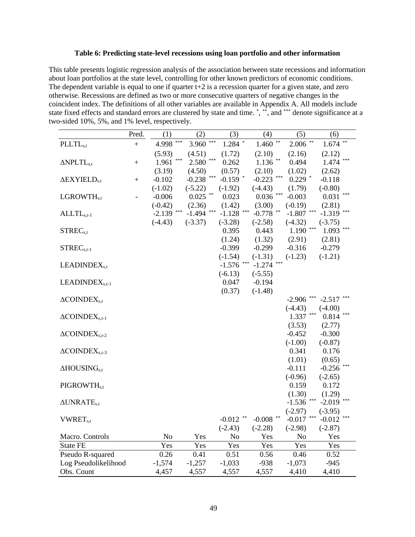### **Table 6: Predicting state-level recessions using loan portfolio and other information**

This table presents logistic regression analysis of the association between state recessions and information about loan portfolios at the state level, controlling for other known predictors of economic conditions. The dependent variable is equal to one if quarter  $t+2$  is a recession quarter for a given state, and zero otherwise. Recessions are defined as two or more consecutive quarters of negative changes in the coincident index. The definitions of all other variables are available in Appendix A. All models include state fixed effects and standard errors are clustered by state and time. \*, \*\*, and \*\*\* denote significance at a two-sided 10%, 5%, and 1% level, respectively.

|                                   | Pred.  | (1)            |     | (2)          |       | (3)               |     | (4)         |       | (5)               | (6)             |
|-----------------------------------|--------|----------------|-----|--------------|-------|-------------------|-----|-------------|-------|-------------------|-----------------|
| PLLTL <sub>s,t</sub>              | $^{+}$ | 4.998          | *** | 3.960        | $***$ | $1.284$ $^{\ast}$ |     | 1.460       | $***$ | **<br>2.006       | 1.674           |
|                                   |        | (5.93)         |     | (4.51)       |       | (1.72)            |     | (2.10)      |       | (2.16)            | (2.12)          |
| $\Delta$ NPLTL <sub>s,t</sub>     | $^{+}$ | 1.961          | *** | 2.580        | $***$ | 0.262             |     | 1.136       | **    | 0.494             | ***<br>1.474    |
|                                   |        | (3.19)         |     | (4.50)       |       | (0.57)            |     | (2.10)      |       | (1.02)            | (2.62)          |
| $\Delta$ EXYIELD <sub>s,t</sub>   | $^{+}$ | $-0.102$       |     | $-0.238$     | ***   | $-0.159$ *        |     | $-0.223$    | ***   | $0.229$ *         | $-0.118$        |
|                                   |        | $(-1.02)$      |     | $(-5.22)$    |       | $(-1.92)$         |     | $(-4.43)$   |       | (1.79)            | $(-0.80)$       |
| LGROWTH <sub>s.t</sub>            |        | $-0.006$       |     | $0.025$ **   |       | 0.023             |     | 0.036       | ***   | $-0.003$          | 0.031           |
|                                   |        | $(-0.42)$      |     | (2.36)       |       | (1.42)            |     | (3.00)      |       | $(-0.19)$         | (2.81)          |
| $ALLTLs.t-1$                      |        | $-2.139$ ***   |     | $-1.494$ *** |       | $-1.128$          | *** | $-0.778$ ** |       | ***<br>$-1.807$   | ***<br>$-1.319$ |
|                                   |        | $(-4.43)$      |     | $(-3.37)$    |       | $(-3.28)$         |     | $(-2.58)$   |       | $(-4.32)$         | $(-3.75)$       |
| STREC <sub>s,t</sub>              |        |                |     |              |       | 0.395             |     | 0.443       |       | $***$<br>1.190    | $***$<br>1.093  |
|                                   |        |                |     |              |       | (1.24)            |     | (1.32)      |       | (2.91)            | (2.81)          |
| $STRECs,t-1$                      |        |                |     |              |       | $-0.399$          |     | $-0.299$    |       | $-0.316$          | $-0.279$        |
|                                   |        |                |     |              |       | $(-1.54)$         |     | $(-1.31)$   |       | $(-1.23)$         | $(-1.21)$       |
| LEADINDEX <sub>s,t</sub>          |        |                |     |              |       | $-1.576$          |     | $-1.274$    | $***$ |                   |                 |
|                                   |        |                |     |              |       | $(-6.13)$         |     | $(-5.55)$   |       |                   |                 |
| $LEADINGX_{s,t-1}$                |        |                |     |              |       | 0.047             |     | $-0.194$    |       |                   |                 |
|                                   |        |                |     |              |       | (0.37)            |     | $(-1.48)$   |       |                   |                 |
| $\triangle$ COINDE $X_{s,t}$      |        |                |     |              |       |                   |     |             |       | $-2.906$          | $-2.517$        |
|                                   |        |                |     |              |       |                   |     |             |       | $(-4.43)$         | $(-4.00)$       |
| $\triangle$ COINDE $X_{s,t-1}$    |        |                |     |              |       |                   |     |             |       | ***<br>1.337      | 0.814           |
|                                   |        |                |     |              |       |                   |     |             |       | (3.53)            | (2.77)          |
| $\triangle$ COINDE $X_{s,t-2}$    |        |                |     |              |       |                   |     |             |       | $-0.452$          | $-0.300$        |
|                                   |        |                |     |              |       |                   |     |             |       | $(-1.00)$         | $(-0.87)$       |
| $\triangle$ COINDE $X_{s,t-3}$    |        |                |     |              |       |                   |     |             |       | 0.341             | 0.176           |
|                                   |        |                |     |              |       |                   |     |             |       | (1.01)            | (0.65)          |
| $\Delta$ HOUSING <sub>s,t</sub>   |        |                |     |              |       |                   |     |             |       | $-0.111$          | $-0.256$        |
|                                   |        |                |     |              |       |                   |     |             |       | $(-0.96)$         | $(-2.65)$       |
| PIGROWTH <sub>s,t</sub>           |        |                |     |              |       |                   |     |             |       | 0.159             | 0.172           |
|                                   |        |                |     |              |       |                   |     |             |       | (1.30)            | (1.29)          |
| $\triangle$ UNRATE <sub>s.t</sub> |        |                |     |              |       |                   |     |             |       | ***<br>$-1.536$   | ***<br>$-2.019$ |
|                                   |        |                |     |              |       |                   |     |             |       | $(-2.97)$         | $(-3.95)$       |
| <b>VWRET</b> <sub>s,t</sub>       |        |                |     |              |       | $-0.012$ **       |     | $-0.008$    | **    | $***$<br>$-0.017$ | ***<br>$-0.012$ |
|                                   |        |                |     |              |       | $(-2.43)$         |     | $(-2.28)$   |       | $(-2.98)$         | $(-2.87)$       |
| Macro. Controls                   |        | N <sub>o</sub> |     | Yes          |       | N <sub>o</sub>    |     | Yes         |       | No                | Yes             |
| State FE                          |        | Yes            |     | Yes          |       | Yes               |     | Yes         |       | Yes               | Yes             |
| Pseudo R-squared                  |        | 0.26           |     | 0.41         |       | 0.51              |     | 0.56        |       | 0.46              | 0.52            |
| Log Pseudolikelihood              |        | $-1,574$       |     | $-1,257$     |       | $-1,033$          |     | $-938$      |       | $-1,073$          | $-945$          |
| Obs. Count                        |        | 4,457          |     | 4,557        |       | 4,557             |     | 4,557       |       | 4,410             | 4,410           |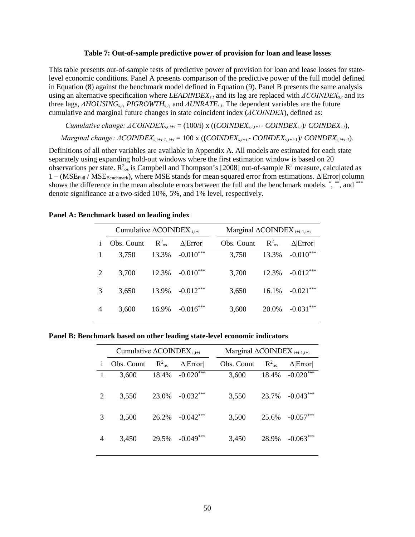#### **Table 7: Out-of-sample predictive power of provision for loan and lease losses**

This table presents out-of-sample tests of predictive power of provision for loan and lease losses for statelevel economic conditions. Panel A presents comparison of the predictive power of the full model defined in Equation (8) against the benchmark model defined in Equation (9). Panel B presents the same analysis using an alternative specification where *LEADINDEXs,t* and its lag are replaced with *ΔCOINDEXs,t* and its three lags, *ΔHOUSINGs,t, PIGROWTHs,t*, and *ΔUNRATEs,t*. The dependent variables are the future cumulative and marginal future changes in state coincident index (*ΔCOINDEX*), defined as:

*Cumulative change: ΔCOINDEXs,t,t+i* = (100/i) x ((*COINDEXs,t,t+i* - *COINDEXs,t*)/ *COINDEXs,t*), *Marginal change: ΔCOINDEXs,t+i-1, t+i* = 100 x ((*COINDEXs,t+i* - *COINDEXs,t+i-1*)/ *COINDEXs,t+i-1*).

Definitions of all other variables are available in Appendix A. All models are estimated for each state separately using expanding hold-out windows where the first estimation window is based on 20 observations per state.  $R^2$ <sub>os</sub> is Campbell and Thompson's [2008] out-of-sample  $R^2$  measure, calculated as  $1 - (MSE_{Full} / MSE_{Benchmark})$ , where MSE stands for mean squared error from estimations. Δ|Error| column shows the difference in the mean absolute errors between the full and the benchmark models.  $\dot{a}$ ,  $\dot{b}$ , and  $\dot{b}$ denote significance at a two-sided 10%, 5%, and 1% level, respectively.

|   | Cumulative $\triangle$ COINDEX t,t+i |                |                |            | Marginal $\triangle$ COINDEX <sub>t+i-1,t+i</sub> |                       |  |  |  |
|---|--------------------------------------|----------------|----------------|------------|---------------------------------------------------|-----------------------|--|--|--|
| 1 | Obs. Count                           | $R_{\rm os}^2$ | $\Delta$ Error | Obs. Count | $R^2_{\alpha s}$                                  | $\Delta$ Error        |  |  |  |
|   | 3,750                                | 13.3%          | $-0.010***$    | 3,750      | 13.3%                                             | $-0.010***$           |  |  |  |
| 2 | 3,700                                | 12.3%          | $-0.010***$    | 3,700      | 12.3%                                             | $-0.012***$           |  |  |  |
| 3 | 3,650                                | 13.9%          | $-0.012***$    | 3,650      | 16.1%                                             | $-0.021***$           |  |  |  |
| 4 | 3,600                                | 16.9%          | $-0.016***$    | 3,600      | 20.0%                                             | $-0.031$ <sup>*</sup> |  |  |  |

### **Panel A: Benchmark based on leading index**

**Panel B: Benchmark based on other leading state-level economic indicators**

|   | Cumulative $\triangle$ COINDEX t,t+i |                  |                | Marginal $\triangle$ COINDEX t <sub>tti-1,tti</sub> |            |                |                 |
|---|--------------------------------------|------------------|----------------|-----------------------------------------------------|------------|----------------|-----------------|
| 1 | Obs. Count                           | $R^2_{\alpha s}$ | $\Delta$ Error |                                                     | Obs. Count | $R^2_{\alpha}$ | $\Delta$  Error |
|   | 3,600                                | 18.4%            | $-0.020***$    |                                                     | 3,600      | 18.4%          | $-0.020***$     |
| 2 | 3,550                                | 23.0%            | $-0.032***$    |                                                     | 3,550      | 23.7%          | $-0.043***$     |
| 3 | 3,500                                | 26.2%            | $-0.042***$    |                                                     | 3,500      | 25.6%          | $-0.057***$     |
| 4 | 3,450                                | 29.5%            | $-0.049***$    |                                                     | 3,450      | 28.9%          | $-0.063$        |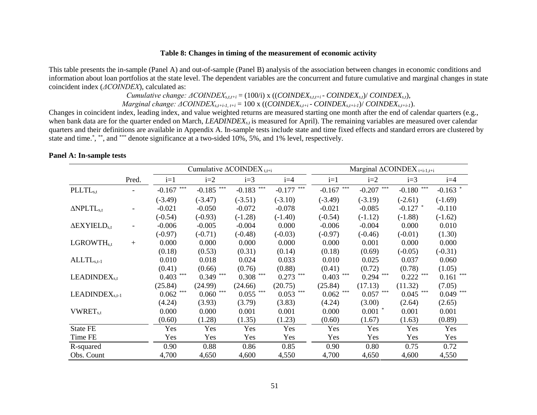### **Table 8: Changes in timing of the measurement of economic activity**

This table presents the in-sample (Panel A) and out-of-sample (Panel B) analysis of the association between changes in economic conditions and information about loan portfolios at the state level. The dependent variables are the concurrent and future cumulative and marginal changes in state coincident index (*ΔCOINDEX*), calculated as:

*Cumulative change: ΔCOINDEXs,t,t+i* = (100/i) x ((*COINDEXs,t,t+i* - *COINDEXs,t*)/ *COINDEXs,t*),

*Marginal change: ΔCOINDEXs,t+i-1, t+i* = 100 x ((*COINDEXs,t+i* - *COINDEXs,t+i-1*)/ *COINDEXs,t+i-1*).

Changes in coincident index, leading index, and value weighted returns are measured starting one month after the end of calendar quarters (e.g., when bank data are for the quarter ended on March, *LEADINDEX<sub>s,t</sub>* is measured for April). The remaining variables are measured over calendar quarters and their definitions are available in Appendix A. In-sample tests include state and time fixed effects and standard errors are clustered by state and time.\*, \*\*, and \*\*\* denote significance at a two-sided 10%, 5%, and 1% level, respectively.

|                                 |       |                   | Cumulative $\triangle$ COINDEX <sub>t,t+i</sub> |              |              | Marginal $\triangle$ COINDEX <sub>t+i-1,t+i</sub> |                   |              |              |
|---------------------------------|-------|-------------------|-------------------------------------------------|--------------|--------------|---------------------------------------------------|-------------------|--------------|--------------|
|                                 | Pred. | $i=1$             | $i=2$                                           | $i=3$        | $i=4$        | $i=1$                                             | $i=2$             | $i=3$        | $i=4$        |
| PLLTL <sub>s,t</sub>            |       | $***$<br>$-0.167$ | $-0.185$ <sup>***</sup>                         | $-0.183$ *** | $-0.177$     | $-0.167$ ***                                      | $***$<br>$-0.207$ | $-0.180$ *** | $-0.163$ *   |
|                                 |       | $(-3.49)$         | $(-3.47)$                                       | $(-3.51)$    | $(-3.10)$    | $(-3.49)$                                         | $(-3.19)$         | $(-2.61)$    | $(-1.69)$    |
| $\triangle NPLTL_{s,t}$         |       | $-0.021$          | $-0.050$                                        | $-0.072$     | $-0.078$     | $-0.021$                                          | $-0.085$          | $-0.127$ *   | $-0.110$     |
|                                 |       | $(-0.54)$         | $(-0.93)$                                       | $(-1.28)$    | $(-1.40)$    | $(-0.54)$                                         | $(-1.12)$         | $(-1.88)$    | $(-1.62)$    |
| $\Delta$ EXYIELD <sub>s.t</sub> |       | $-0.006$          | $-0.005$                                        | $-0.004$     | 0.000        | $-0.006$                                          | $-0.004$          | 0.000        | 0.010        |
|                                 |       | $(-0.97)$         | $(-0.71)$                                       | $(-0.48)$    | $(-0.03)$    | $(-0.97)$                                         | $(-0.46)$         | $(-0.01)$    | (1.30)       |
| LGROWTH <sub>s,t</sub>          | $+$   | 0.000             | 0.000                                           | 0.000        | 0.000        | 0.000                                             | 0.001             | 0.000        | 0.000        |
|                                 |       | (0.18)            | (0.53)                                          | (0.31)       | (0.14)       | (0.18)                                            | (0.69)            | $(-0.05)$    | $(-0.31)$    |
| $ALLTLs,t-1$                    |       | 0.010             | 0.018                                           | 0.024        | 0.033        | 0.010                                             | 0.025             | 0.037        | 0.060        |
|                                 |       | (0.41)            | (0.66)                                          | (0.76)       | (0.88)       | (0.41)                                            | (0.72)            | (0.78)       | (1.05)       |
| LEADINDEX <sub>s,t</sub>        |       | ***<br>0.403      | $0.349$ ***                                     | $0.308$ ***  | $0.273$ ***  | $0.403$ ***                                       | $0.294$ ***       | $0.222$ ***  | ***<br>0.161 |
|                                 |       | (25.84)           | (24.99)                                         | (24.66)      | (20.75)      | (25.84)                                           | (17.13)           | (11.32)      | (7.05)       |
| $LEADINGXs,t-1$                 |       | ***<br>0.062      | $0.060$ $\hspace{0.1cm}^{\ast\ast\ast}$         | 0.055        | ***<br>0.053 | $0.062$ ***                                       | 0.057             | $0.045$ ***  | $0.049$ ***  |
|                                 |       | (4.24)            | (3.93)                                          | (3.79)       | (3.83)       | (4.24)                                            | (3.00)            | (2.64)       | (2.65)       |
| <b>VWRET</b> <sub>s,t</sub>     |       | 0.000             | 0.000                                           | 0.001        | 0.001        | 0.000                                             | $0.001$ *         | 0.001        | 0.001        |
|                                 |       | (0.60)            | (1.28)                                          | (1.35)       | (1.23)       | (0.60)                                            | (1.67)            | (1.63)       | (0.89)       |
| <b>State FE</b>                 |       | Yes               | Yes                                             | Yes          | Yes          | Yes                                               | Yes               | Yes          | Yes          |
| Time FE                         |       | Yes               | Yes                                             | Yes          | Yes          | Yes                                               | Yes               | Yes          | Yes          |
| R-squared                       |       | 0.90              | 0.88                                            | 0.86         | 0.85         | 0.90                                              | 0.80              | 0.75         | 0.72         |
| Obs. Count                      |       | 4,700             | 4,650                                           | 4,600        | 4,550        | 4,700                                             | 4,650             | 4,600        | 4,550        |

# **Panel A: In-sample tests**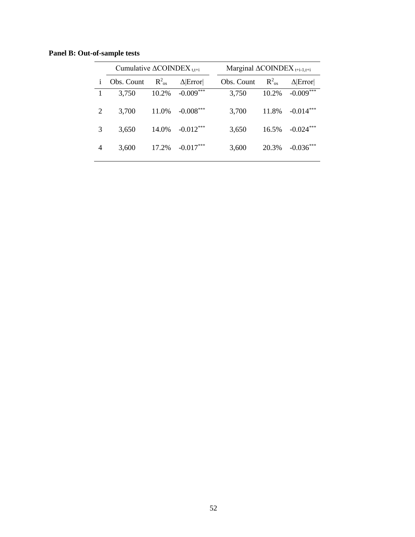**Panel B: Out-of-sample tests**

|            |                |                |                                                 | Marginal $\triangle$ COINDEX <sub>t+i-1,t+i</sub> |                |  |  |
|------------|----------------|----------------|-------------------------------------------------|---------------------------------------------------|----------------|--|--|
| Obs. Count | $R^2_{\rm os}$ | $\Delta$ Error | Obs. Count                                      | $R^2_{\rm os}$                                    | $\Delta$ Error |  |  |
| 3,750      | 10.2%          | $-0.009***$    | 3,750                                           | 10.2%                                             | $-0.009***$    |  |  |
| 3,700      | 11.0%          | $-0.008***$    | 3,700                                           | 11.8%                                             | $-0.014***$    |  |  |
| 3,650      | 14.0%          | $-0.012***$    | 3,650                                           | 16.5%                                             | $-0.024***$    |  |  |
| 3,600      | 17.2%          | $-0.017***$    | 3,600                                           | 20.3%                                             | $-0.036***$    |  |  |
|            |                |                | Cumulative $\triangle COINDEX$ <sub>t.t+i</sub> |                                                   |                |  |  |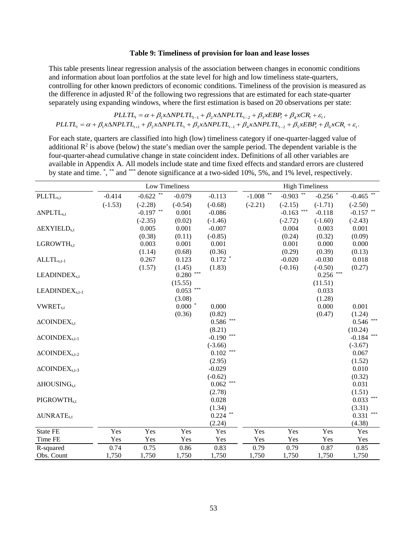#### **Table 9: Timeliness of provision for loan and lease losses**

This table presents linear regression analysis of the association between changes in economic conditions and information about loan portfolios at the state level for high and low timeliness state-quarters, controlling for other known predictors of economic conditions. Timeliness of the provision is measured as the difference in adjusted  $R^2$  of the following two regressions that are estimated for each state-quarter separately using expanding windows, where the first estimation is based on 20 observations per state:

$$
PLLTL_{t} = \alpha + \beta_{1} \times \Delta NPLTL_{t-1} + \beta_{2} \times \Delta NPLTL_{t-2} + \beta_{3} \times EBP_{t} + \beta_{4} \times CR_{t} + \varepsilon_{t},
$$
  
PLLTL\_{t} = \alpha + \beta\_{1} \times \Delta NPLTL\_{t+1} + \beta\_{2} \times \Delta NPLTL\_{t} + \beta\_{3} \times \Delta NPLTL\_{t-1} + \beta\_{4} \times \Delta NPLTL\_{t-2} + \beta\_{5} \times EBP\_{t} + \beta\_{6} \times CR\_{t} + \varepsilon\_{t}.

For each state, quarters are classified into high (low) timeliness category if one-quarter-lagged value of additional  $\mathbb{R}^2$  is above (below) the state's median over the sample period. The dependent variable is the four-quarter-ahead cumulative change in state coincident index. Definitions of all other variables are available in Appendix A. All models include state and time fixed effects and standard errors are clustered by state and time. \*, \*\* and \*\*\* denote significance at a two-sided 10%, 5%, and 1% level, respectively.

|                                      |           |                      | Low Timeliness |                |             | <b>High Timeliness</b> |             |                      |
|--------------------------------------|-----------|----------------------|----------------|----------------|-------------|------------------------|-------------|----------------------|
| PLLTL <sub>s,t</sub>                 | $-0.414$  | -0.622 $^{\ast\ast}$ | $-0.079$       | $-0.113$       | $-1.008$ ** | -0.903 $^{\ast\ast}$   | $-0.256$ *  | -0.465 $^{\ast\ast}$ |
|                                      | $(-1.53)$ | $(-2.28)$            | $(-0.54)$      | $(-0.68)$      | $(-2.21)$   | $(-2.15)$              | $(-1.71)$   | $(-2.50)$            |
| $\Delta NPLTL_{s,t}$                 |           | $**$<br>$-0.197$     | 0.001          | $-0.086$       |             | $***$<br>$-0.163$      | $-0.118$    | $-0.157$ **          |
|                                      |           | $(-2.35)$            | (0.02)         | $(-1.46)$      |             | $(-2.72)$              | $(-1.60)$   | $(-2.43)$            |
| $\triangle$ EXYIELD <sub>s.t</sub>   |           | 0.005                | 0.001          | $-0.007$       |             | 0.004                  | 0.003       | 0.001                |
|                                      |           | (0.38)               | (0.11)         | $(-0.85)$      |             | (0.24)                 | (0.32)      | (0.09)               |
| LGROWTH <sub>s,t</sub>               |           | 0.003                | 0.001          | 0.001          |             | 0.001                  | 0.000       | 0.000                |
|                                      |           | (1.14)               | (0.68)         | (0.36)         |             | (0.29)                 | (0.39)      | (0.13)               |
| $ALLTLs,t-1$                         |           | 0.267                | 0.123          | $0.172$ *      |             | $-0.020$               | $-0.030$    | 0.018                |
|                                      |           | (1.57)               | (1.45)         | (1.83)         |             | $(-0.16)$              | $(-0.50)$   | (0.27)               |
| LEADINDEX <sub>s,t</sub>             |           |                      | $***$<br>0.280 |                |             |                        | $0.256$ *** |                      |
|                                      |           |                      | (15.55)        |                |             |                        | (11.51)     |                      |
| LEADINDEX <sub>s.t-1</sub>           |           |                      | $***$<br>0.053 |                |             |                        | 0.033       |                      |
|                                      |           |                      | (3.08)         |                |             |                        | (1.28)      |                      |
| <b>VWRET</b> <sub>s,t</sub>          |           |                      | $0.000*$       | 0.000          |             |                        | 0.000       | 0.001                |
|                                      |           |                      | (0.36)         | (0.82)         |             |                        | (0.47)      | (1.24)               |
| $\triangle COINDEX_{s.t}$            |           |                      |                | ***<br>0.586   |             |                        |             | 0.546                |
|                                      |           |                      |                | (8.21)         |             |                        |             | (10.24)              |
| $\triangle COINDEX$ <sub>s.t-1</sub> |           |                      |                | $-0.190$ ***   |             |                        |             | $* * *$<br>$-0.184$  |
|                                      |           |                      |                | $(-3.66)$      |             |                        |             | $(-3.67)$            |
| $\triangle COINDEXs,t-2$             |           |                      |                | $***$<br>0.102 |             |                        |             | 0.067                |
|                                      |           |                      |                | (2.95)         |             |                        |             | (1.52)               |
| $\triangle COINDEXs.t-3$             |           |                      |                | $-0.029$       |             |                        |             | 0.010                |
|                                      |           |                      |                | $(-0.62)$      |             |                        |             | (0.32)               |
| $\triangle HOUSING_{s.t}$            |           |                      |                | $0.062$ ***    |             |                        |             | 0.031                |
|                                      |           |                      |                | (2.78)         |             |                        |             | (1.51)               |
| PIGROWTH <sub>s.t</sub>              |           |                      |                | 0.028          |             |                        |             | ***<br>0.033         |
|                                      |           |                      |                | (1.34)         |             |                        |             | (3.31)               |
| $\triangle$ UNRATE <sub>s.t</sub>    |           |                      |                | $0.224$ **     |             |                        |             | $***$<br>0.331       |
|                                      |           |                      |                | (2.24)         |             |                        |             | (4.38)               |
| State FE                             | Yes       | Yes                  | Yes            | Yes            | Yes         | Yes                    | Yes         | Yes                  |
| Time FE                              | Yes       | Yes                  | Yes            | Yes            | Yes         | Yes                    | Yes         | Yes                  |
| R-squared                            | 0.74      | 0.75                 | 0.86           | 0.83           | 0.79        | 0.79                   | 0.87        | 0.85                 |
| Obs. Count                           | 1,750     | 1,750                | 1,750          | 1,750          | 1,750       | 1,750                  | 1,750       | 1,750                |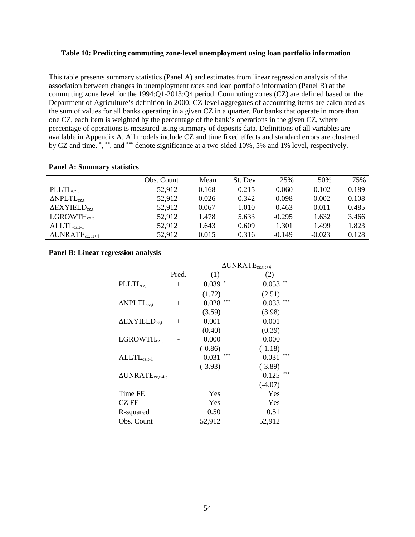### **Table 10: Predicting commuting zone-level unemployment using loan portfolio information**

This table presents summary statistics (Panel A) and estimates from linear regression analysis of the association between changes in unemployment rates and loan portfolio information (Panel B) at the commuting zone level for the 1994:Q1-2013:Q4 period. Commuting zones (CZ) are defined based on the Department of Agriculture's definition in 2000. CZ-level aggregates of accounting items are calculated as the sum of values for all banks operating in a given CZ in a quarter. For banks that operate in more than one CZ, each item is weighted by the percentage of the bank's operations in the given CZ, where percentage of operations is measured using summary of deposits data. Definitions of all variables are available in Appendix A. All models include CZ and time fixed effects and standard errors are clustered by CZ and time. \*, \*\*, and \*\*\* denote significance at a two-sided 10%, 5% and 1% level, respectively.

#### **Panel A: Summary statistics**

|                                   | Obs. Count | Mean     | St. Dev | 25%      | 50%      | 75%   |
|-----------------------------------|------------|----------|---------|----------|----------|-------|
| $\n  PLLTLcz.t\n$                 | 52,912     | 0.168    | 0.215   | 0.060    | 0.102    | 0.189 |
| $\triangle$ NPLTL <sub>cz.t</sub> | 52,912     | 0.026    | 0.342   | $-0.098$ | $-0.002$ | 0.108 |
| $\Delta$ EXYIELD <sub>cz.t</sub>  | 52,912     | $-0.067$ | 1.010   | $-0.463$ | $-0.011$ | 0.485 |
| LGROWTH <sub>cz.t</sub>           | 52,912     | 1.478    | 5.633   | $-0.295$ | 1.632    | 3.466 |
| $ALLTL_{cz.t-1}$                  | 52,912     | 1.643    | 0.609   | 1.301    | 1.499    | 1.823 |
| $\Delta UNRATE_{cz.t.t+4}$        | 52,912     | 0.015    | 0.316   | $-0.149$ | $-0.023$ | 0.128 |

#### **Panel B: Linear regression analysis**

|                                  |        |                 | $\triangle UNRATE_{cz,t,t+4}$ |
|----------------------------------|--------|-----------------|-------------------------------|
|                                  | Pred.  | (1)             | (2)                           |
| <b>PLLTL</b> <sub>cz.t</sub>     | $^{+}$ | *<br>0.039      | **<br>0.053                   |
|                                  |        | (1.72)          | (2.51)                        |
| $\Delta$ NPLTL <sub>cz,t</sub>   | $^{+}$ | ***<br>0.028    | ***<br>0.033                  |
|                                  |        | (3.59)          | (3.98)                        |
| $\Delta$ EXYIELD <sub>cz.t</sub> | $+$    | 0.001           | 0.001                         |
|                                  |        | (0.40)          | (0.39)                        |
| LGROWTH <sub>cz.t</sub>          |        | 0.000           | 0.000                         |
|                                  |        | $(-0.86)$       | $(-1.18)$                     |
| $ALLTL_{cz,t-1}$                 |        | ***<br>$-0.031$ | ***<br>$-0.031$               |
|                                  |        | $(-3.93)$       | $(-3.89)$                     |
| $\triangle UNRATE_{cz,t-4,t}$    |        |                 | ***<br>$-0.125$               |
|                                  |        |                 | $(-4.07)$                     |
| Time FE                          |        | Yes             | Yes                           |
| CZ FE                            |        | Yes             | Yes                           |
| R-squared                        |        | 0.50            | 0.51                          |
| Obs. Count                       |        | 52,912          | 52,912                        |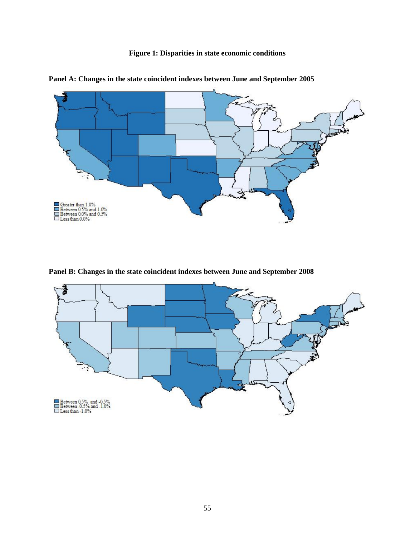**Figure 1: Disparities in state economic conditions**



**Panel A: Changes in the state coincident indexes between June and September 2005**

**Panel B: Changes in the state coincident indexes between June and September 2008**